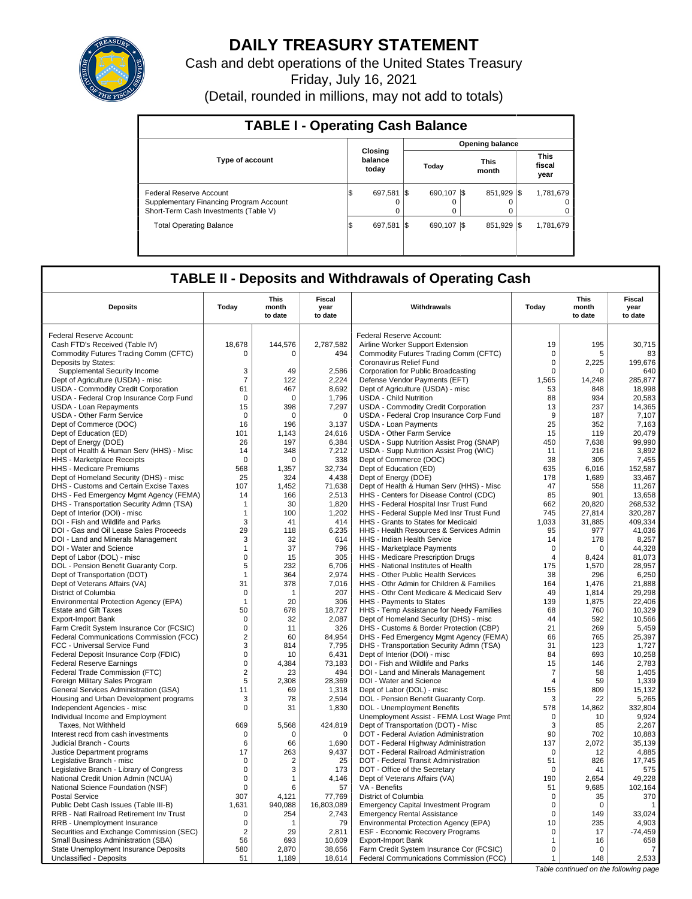

# **DAILY TREASURY STATEMENT**

Cash and debt operations of the United States Treasury

Friday, July 16, 2021

(Detail, rounded in millions, may not add to totals)

| <b>TABLE I - Operating Cash Balance</b>                                                                     |                             |              |                        |                               |  |  |  |  |  |
|-------------------------------------------------------------------------------------------------------------|-----------------------------|--------------|------------------------|-------------------------------|--|--|--|--|--|
|                                                                                                             |                             |              | <b>Opening balance</b> |                               |  |  |  |  |  |
| <b>Type of account</b>                                                                                      | Closing<br>balance<br>today | Today        | This<br>month          | <b>This</b><br>fiscal<br>year |  |  |  |  |  |
| Federal Reserve Account<br>Supplementary Financing Program Account<br>Short-Term Cash Investments (Table V) | 697.581<br>1\$<br>$\Omega$  | 690.107<br>0 | 851.929 \\$<br>- IS    | 1,781,679<br>0<br>0           |  |  |  |  |  |
| <b>Total Operating Balance</b>                                                                              | 697.581<br>\$               | 690.107      | 851.929<br><b>IS</b>   | 1,781,679<br>-1\$             |  |  |  |  |  |

# **TABLE II - Deposits and Withdrawals of Operating Cash**

| <b>This</b><br>This<br><b>Fiscal</b><br>Fiscal<br><b>Deposits</b><br>Today<br>Withdrawals<br>Today<br>year<br>month<br>year<br>month<br>to date<br>to date<br>to date<br>to date<br>Federal Reserve Account:<br>Federal Reserve Account:<br>Cash FTD's Received (Table IV)<br>18,678<br>144,576<br>2,787,582<br>Airline Worker Support Extension<br>19<br>195<br>30,715<br>Commodity Futures Trading Comm (CFTC)<br>494<br>Commodity Futures Trading Comm (CFTC)<br>$\mathbf 0$<br>83<br>$\Omega$<br>5<br>$\Omega$<br>Deposits by States:<br>Coronavirus Relief Fund<br>$\mathbf 0$<br>2.225<br>199.676<br>Supplemental Security Income<br>3<br>49<br>2,586<br>Corporation for Public Broadcasting<br>$\Omega$<br>640<br>$\Omega$<br>Dept of Agriculture (USDA) - misc<br>$\overline{7}$<br>122<br>2,224<br>Defense Vendor Payments (EFT)<br>1.565<br>14,248<br>285.877<br>8,692<br>18,998<br>USDA - Commodity Credit Corporation<br>61<br>467<br>Dept of Agriculture (USDA) - misc<br>53<br>848<br>USDA - Federal Crop Insurance Corp Fund<br>1,796<br><b>USDA - Child Nutrition</b><br>88<br>934<br>20,583<br>$\Omega$<br>$\Omega$<br>13<br>237<br>14,365<br><b>USDA - Loan Repayments</b><br>15<br>398<br>7,297<br>USDA - Commodity Credit Corporation<br>USDA - Federal Crop Insurance Corp Fund<br>9<br>187<br>7,107<br>USDA - Other Farm Service<br>$\Omega$<br>$\Omega$<br>$\Omega$<br>25<br>352<br>Dept of Commerce (DOC)<br>16<br>196<br>3,137<br><b>USDA - Loan Payments</b><br>7,163<br>Dept of Education (ED)<br>101<br>1,143<br>24,616<br>USDA - Other Farm Service<br>15<br>119<br>20,479<br>99.990<br>Dept of Energy (DOE)<br>26<br>197<br>6,384<br>USDA - Supp Nutrition Assist Prog (SNAP)<br>450<br>7.638<br>USDA - Supp Nutrition Assist Prog (WIC)<br>216<br>3,892<br>Dept of Health & Human Serv (HHS) - Misc<br>348<br>7,212<br>11<br>14<br>Dept of Commerce (DOC)<br>7.455<br><b>HHS</b> - Marketplace Receipts<br>$\Omega$<br>338<br>38<br>305<br>$\Omega$<br>635<br>152,587<br>HHS - Medicare Premiums<br>568<br>1,357<br>32,734<br>Dept of Education (ED)<br>6,016<br>Dept of Homeland Security (DHS) - misc<br>25<br>324<br>4,438<br>Dept of Energy (DOE)<br>178<br>1,689<br>33,467<br>71,638<br>47<br>558<br>11,267<br>DHS - Customs and Certain Excise Taxes<br>107<br>1,452<br>Dept of Health & Human Serv (HHS) - Misc<br>DHS - Fed Emergency Mgmt Agency (FEMA)<br>166<br>2,513<br>HHS - Centers for Disease Control (CDC)<br>85<br>901<br>13,658<br>14<br>1,820<br>662<br>20,820<br>DHS - Transportation Security Admn (TSA)<br>30<br>HHS - Federal Hospital Insr Trust Fund<br>268,532<br>1<br>Dept of Interior (DOI) - misc<br>$\mathbf{1}$<br>100<br>1,202<br>HHS - Federal Supple Med Insr Trust Fund<br>745<br>27,814<br>320,287<br>DOI - Fish and Wildlife and Parks<br>3<br>1.033<br>31.885<br>409.334<br>41<br>414<br>HHS - Grants to States for Medicaid<br>29<br>6,235<br>95<br>41,036<br>DOI - Gas and Oil Lease Sales Proceeds<br>118<br>HHS - Health Resources & Services Admin<br>977<br>DOI - Land and Minerals Management<br>3<br>32<br>614<br><b>HHS - Indian Health Service</b><br>14<br>178<br>8,257<br>37<br>796<br>$\mathbf 0$<br>44,328<br>DOI - Water and Science<br>HHS - Marketplace Payments<br>$\mathbf 1$<br>0<br>Dept of Labor (DOL) - misc<br>$\mathbf 0$<br>15<br>305<br>HHS - Medicare Prescription Drugs<br>$\overline{4}$<br>81,073<br>8,424<br>28,957<br>DOL - Pension Benefit Guaranty Corp.<br>5<br>232<br>6,706<br>175<br>1,570<br>HHS - National Institutes of Health<br>2,974<br>6,250<br>Dept of Transportation (DOT)<br>364<br>HHS - Other Public Health Services<br>38<br>296<br>1<br>21,888<br>31<br>378<br>7,016<br>HHS - Othr Admin for Children & Families<br>1,476<br>Dept of Veterans Affairs (VA)<br>164<br>29,298<br>District of Columbia<br>$\Omega$<br>207<br>HHS - Othr Cent Medicare & Medicaid Serv<br>49<br>1,814<br>$\overline{1}$<br>20<br>306<br>HHS - Payments to States<br>139<br>1,875<br>22,406<br>Environmental Protection Agency (EPA)<br>$\mathbf{1}$<br>50<br>18,727<br>HHS - Temp Assistance for Needy Families<br>68<br>760<br>10,329<br><b>Estate and Gift Taxes</b><br>678<br><b>Export-Import Bank</b><br>$\mathbf 0$<br>32<br>2,087<br>Dept of Homeland Security (DHS) - misc<br>44<br>592<br>10,566<br>21<br>269<br>0<br>326<br>DHS - Customs & Border Protection (CBP)<br>5,459<br>Farm Credit System Insurance Cor (FCSIC)<br>11<br>$\overline{2}$<br>Federal Communications Commission (FCC)<br>60<br>84,954<br>DHS - Fed Emergency Mgmt Agency (FEMA)<br>66<br>765<br>25,397<br>3<br>7,795<br>DHS - Transportation Security Admn (TSA)<br>31<br>123<br>1,727<br>FCC - Universal Service Fund<br>814<br>6,431<br>Dept of Interior (DOI) - misc<br>84<br>693<br>10,258<br>Federal Deposit Insurance Corp (FDIC)<br>$\Omega$<br>10<br>$\mathbf 0$<br>15<br>2,783<br>4,384<br>73,183<br>DOI - Fish and Wildlife and Parks<br>146<br><b>Federal Reserve Earnings</b><br>Federal Trade Commission (FTC)<br>$\overline{\mathbf{c}}$<br>23<br>494<br>DOI - Land and Minerals Management<br>7<br>58<br>1,405<br>59<br>5<br>28,369<br>DOI - Water and Science<br>1,339<br>Foreign Military Sales Program<br>2,308<br>4<br>General Services Administration (GSA)<br>11<br>69<br>1,318<br>Dept of Labor (DOL) - misc<br>155<br>809<br>15,132<br>5.265<br>Housing and Urban Development programs<br>3<br>78<br>2,594<br>DOL - Pension Benefit Guaranty Corp.<br>3<br>22<br>1,830<br>332,804<br>0<br>DOL - Unemployment Benefits<br>578<br>14,862<br>Independent Agencies - misc<br>31<br>Unemployment Assist - FEMA Lost Wage Pmt<br>9.924<br>Individual Income and Employment<br>$\Omega$<br>10<br>424,819<br>669<br>5,568<br>Dept of Transportation (DOT) - Misc<br>3<br>85<br>2,267<br>Taxes, Not Withheld<br>90<br>702<br>10,883<br>Interest recd from cash investments<br>$\Omega$<br>$\Omega$<br>$\Omega$<br>DOT - Federal Aviation Administration<br>6<br>66<br>1,690<br>DOT - Federal Highway Administration<br>137<br>2,072<br>35,139<br>Judicial Branch - Courts<br>17<br>263<br>9,437<br>DOT - Federal Railroad Administration<br>$\Omega$<br>12<br>4,885<br>Justice Department programs<br>51<br>Legislative Branch - misc<br>$\mathbf 0$<br>$\overline{2}$<br>25<br>DOT - Federal Transit Administration<br>826<br>17.745<br>Legislative Branch - Library of Congress<br>0<br>173<br>DOT - Office of the Secretary<br>$\mathbf 0$<br>41<br>575<br>3<br>4.146<br>2.654<br>49.228<br>National Credit Union Admin (NCUA)<br>0<br>Dept of Veterans Affairs (VA)<br>190<br>1<br>9,685<br>102,164<br>National Science Foundation (NSF)<br>$\mathbf 0$<br>57<br>VA - Benefits<br>51<br>6<br>307<br>77,769<br>$\mathbf 0$<br>370<br><b>Postal Service</b><br>4,121<br>District of Columbia<br>35<br>940,088<br>Public Debt Cash Issues (Table III-B)<br>1,631<br>16,803,089<br><b>Emergency Capital Investment Program</b><br>$\mathbf 0$<br>$\mathbf 0$<br>RRB - Natl Railroad Retirement Inv Trust<br>254<br>33,024<br>$\Omega$<br>2,743<br><b>Emergency Rental Assistance</b><br>$\Omega$<br>149<br>79<br>10<br>235<br>4,903<br>RRB - Unemployment Insurance<br>0<br>Environmental Protection Agency (EPA)<br>1<br>$-74,459$<br>Securities and Exchange Commission (SEC)<br>$\overline{\mathbf{c}}$<br>29<br>2,811<br>ESF - Economic Recovery Programs<br>$\mathbf 0$<br>17<br>10,609<br>658<br>Small Business Administration (SBA)<br>56<br>693<br><b>Export-Import Bank</b><br>$\mathbf{1}$<br>16<br>State Unemployment Insurance Deposits<br>580<br>2,870<br>38,656<br>$\mathbf 0$<br>$\Omega$<br>Farm Credit System Insurance Cor (FCSIC)<br>7<br>2,533<br>Unclassified - Deposits<br>51<br>1,189<br>18,614<br>Federal Communications Commission (FCC)<br>$\mathbf{1}$<br>148 |  |  |  |  |  |  |  |  |
|----------------------------------------------------------------------------------------------------------------------------------------------------------------------------------------------------------------------------------------------------------------------------------------------------------------------------------------------------------------------------------------------------------------------------------------------------------------------------------------------------------------------------------------------------------------------------------------------------------------------------------------------------------------------------------------------------------------------------------------------------------------------------------------------------------------------------------------------------------------------------------------------------------------------------------------------------------------------------------------------------------------------------------------------------------------------------------------------------------------------------------------------------------------------------------------------------------------------------------------------------------------------------------------------------------------------------------------------------------------------------------------------------------------------------------------------------------------------------------------------------------------------------------------------------------------------------------------------------------------------------------------------------------------------------------------------------------------------------------------------------------------------------------------------------------------------------------------------------------------------------------------------------------------------------------------------------------------------------------------------------------------------------------------------------------------------------------------------------------------------------------------------------------------------------------------------------------------------------------------------------------------------------------------------------------------------------------------------------------------------------------------------------------------------------------------------------------------------------------------------------------------------------------------------------------------------------------------------------------------------------------------------------------------------------------------------------------------------------------------------------------------------------------------------------------------------------------------------------------------------------------------------------------------------------------------------------------------------------------------------------------------------------------------------------------------------------------------------------------------------------------------------------------------------------------------------------------------------------------------------------------------------------------------------------------------------------------------------------------------------------------------------------------------------------------------------------------------------------------------------------------------------------------------------------------------------------------------------------------------------------------------------------------------------------------------------------------------------------------------------------------------------------------------------------------------------------------------------------------------------------------------------------------------------------------------------------------------------------------------------------------------------------------------------------------------------------------------------------------------------------------------------------------------------------------------------------------------------------------------------------------------------------------------------------------------------------------------------------------------------------------------------------------------------------------------------------------------------------------------------------------------------------------------------------------------------------------------------------------------------------------------------------------------------------------------------------------------------------------------------------------------------------------------------------------------------------------------------------------------------------------------------------------------------------------------------------------------------------------------------------------------------------------------------------------------------------------------------------------------------------------------------------------------------------------------------------------------------------------------------------------------------------------------------------------------------------------------------------------------------------------------------------------------------------------------------------------------------------------------------------------------------------------------------------------------------------------------------------------------------------------------------------------------------------------------------------------------------------------------------------------------------------------------------------------------------------------------------------------------------------------------------------------------------------------------------------------------------------------------------------------------------------------------------------------------------------------------------------------------------------------------------------------------------------------------------------------------------------------------------------------------------------------------------------------------------------------------------------------------------------------------------------------------------------------------------------------------------------------------------------------------------------------------------------------------------------------------------------------------------------------------------------------------------------------------------------------------------------------------------------------------------------------------------------------------------------------------------------------------------------------------------------------------------------------------------------------------------------------------------------------------------------------------------------------------------------------------------------------------------------------------------------------------------------------------------------------------------------------------------------------------------------------------------------------------------------------------------------------------------------------------------------------------------------------------------------------------------------------------------------------------------------------------------------------------------------------------------------------------------------------------------------------------------------------------------------------------------------------------------------------------------------------------------|--|--|--|--|--|--|--|--|
|                                                                                                                                                                                                                                                                                                                                                                                                                                                                                                                                                                                                                                                                                                                                                                                                                                                                                                                                                                                                                                                                                                                                                                                                                                                                                                                                                                                                                                                                                                                                                                                                                                                                                                                                                                                                                                                                                                                                                                                                                                                                                                                                                                                                                                                                                                                                                                                                                                                                                                                                                                                                                                                                                                                                                                                                                                                                                                                                                                                                                                                                                                                                                                                                                                                                                                                                                                                                                                                                                                                                                                                                                                                                                                                                                                                                                                                                                                                                                                                                                                                                                                                                                                                                                                                                                                                                                                                                                                                                                                                                                                                                                                                                                                                                                                                                                                                                                                                                                                                                                                                                                                                                                                                                                                                                                                                                                                                                                                                                                                                                                                                                                                                                                                                                                                                                                                                                                                                                                                                                                                                                                                                                                                                                                                                                                                                                                                                                                                                                                                                                                                                                                                                                                                                                                                                                                                                                                                                                                                                                                                                                                                                                                                                                                                                                                                                                                                                                                                                                                                                                                                                                                                                                                                                                                                                              |  |  |  |  |  |  |  |  |
|                                                                                                                                                                                                                                                                                                                                                                                                                                                                                                                                                                                                                                                                                                                                                                                                                                                                                                                                                                                                                                                                                                                                                                                                                                                                                                                                                                                                                                                                                                                                                                                                                                                                                                                                                                                                                                                                                                                                                                                                                                                                                                                                                                                                                                                                                                                                                                                                                                                                                                                                                                                                                                                                                                                                                                                                                                                                                                                                                                                                                                                                                                                                                                                                                                                                                                                                                                                                                                                                                                                                                                                                                                                                                                                                                                                                                                                                                                                                                                                                                                                                                                                                                                                                                                                                                                                                                                                                                                                                                                                                                                                                                                                                                                                                                                                                                                                                                                                                                                                                                                                                                                                                                                                                                                                                                                                                                                                                                                                                                                                                                                                                                                                                                                                                                                                                                                                                                                                                                                                                                                                                                                                                                                                                                                                                                                                                                                                                                                                                                                                                                                                                                                                                                                                                                                                                                                                                                                                                                                                                                                                                                                                                                                                                                                                                                                                                                                                                                                                                                                                                                                                                                                                                                                                                                                                              |  |  |  |  |  |  |  |  |
|                                                                                                                                                                                                                                                                                                                                                                                                                                                                                                                                                                                                                                                                                                                                                                                                                                                                                                                                                                                                                                                                                                                                                                                                                                                                                                                                                                                                                                                                                                                                                                                                                                                                                                                                                                                                                                                                                                                                                                                                                                                                                                                                                                                                                                                                                                                                                                                                                                                                                                                                                                                                                                                                                                                                                                                                                                                                                                                                                                                                                                                                                                                                                                                                                                                                                                                                                                                                                                                                                                                                                                                                                                                                                                                                                                                                                                                                                                                                                                                                                                                                                                                                                                                                                                                                                                                                                                                                                                                                                                                                                                                                                                                                                                                                                                                                                                                                                                                                                                                                                                                                                                                                                                                                                                                                                                                                                                                                                                                                                                                                                                                                                                                                                                                                                                                                                                                                                                                                                                                                                                                                                                                                                                                                                                                                                                                                                                                                                                                                                                                                                                                                                                                                                                                                                                                                                                                                                                                                                                                                                                                                                                                                                                                                                                                                                                                                                                                                                                                                                                                                                                                                                                                                                                                                                                                              |  |  |  |  |  |  |  |  |
|                                                                                                                                                                                                                                                                                                                                                                                                                                                                                                                                                                                                                                                                                                                                                                                                                                                                                                                                                                                                                                                                                                                                                                                                                                                                                                                                                                                                                                                                                                                                                                                                                                                                                                                                                                                                                                                                                                                                                                                                                                                                                                                                                                                                                                                                                                                                                                                                                                                                                                                                                                                                                                                                                                                                                                                                                                                                                                                                                                                                                                                                                                                                                                                                                                                                                                                                                                                                                                                                                                                                                                                                                                                                                                                                                                                                                                                                                                                                                                                                                                                                                                                                                                                                                                                                                                                                                                                                                                                                                                                                                                                                                                                                                                                                                                                                                                                                                                                                                                                                                                                                                                                                                                                                                                                                                                                                                                                                                                                                                                                                                                                                                                                                                                                                                                                                                                                                                                                                                                                                                                                                                                                                                                                                                                                                                                                                                                                                                                                                                                                                                                                                                                                                                                                                                                                                                                                                                                                                                                                                                                                                                                                                                                                                                                                                                                                                                                                                                                                                                                                                                                                                                                                                                                                                                                                              |  |  |  |  |  |  |  |  |
|                                                                                                                                                                                                                                                                                                                                                                                                                                                                                                                                                                                                                                                                                                                                                                                                                                                                                                                                                                                                                                                                                                                                                                                                                                                                                                                                                                                                                                                                                                                                                                                                                                                                                                                                                                                                                                                                                                                                                                                                                                                                                                                                                                                                                                                                                                                                                                                                                                                                                                                                                                                                                                                                                                                                                                                                                                                                                                                                                                                                                                                                                                                                                                                                                                                                                                                                                                                                                                                                                                                                                                                                                                                                                                                                                                                                                                                                                                                                                                                                                                                                                                                                                                                                                                                                                                                                                                                                                                                                                                                                                                                                                                                                                                                                                                                                                                                                                                                                                                                                                                                                                                                                                                                                                                                                                                                                                                                                                                                                                                                                                                                                                                                                                                                                                                                                                                                                                                                                                                                                                                                                                                                                                                                                                                                                                                                                                                                                                                                                                                                                                                                                                                                                                                                                                                                                                                                                                                                                                                                                                                                                                                                                                                                                                                                                                                                                                                                                                                                                                                                                                                                                                                                                                                                                                                                              |  |  |  |  |  |  |  |  |
|                                                                                                                                                                                                                                                                                                                                                                                                                                                                                                                                                                                                                                                                                                                                                                                                                                                                                                                                                                                                                                                                                                                                                                                                                                                                                                                                                                                                                                                                                                                                                                                                                                                                                                                                                                                                                                                                                                                                                                                                                                                                                                                                                                                                                                                                                                                                                                                                                                                                                                                                                                                                                                                                                                                                                                                                                                                                                                                                                                                                                                                                                                                                                                                                                                                                                                                                                                                                                                                                                                                                                                                                                                                                                                                                                                                                                                                                                                                                                                                                                                                                                                                                                                                                                                                                                                                                                                                                                                                                                                                                                                                                                                                                                                                                                                                                                                                                                                                                                                                                                                                                                                                                                                                                                                                                                                                                                                                                                                                                                                                                                                                                                                                                                                                                                                                                                                                                                                                                                                                                                                                                                                                                                                                                                                                                                                                                                                                                                                                                                                                                                                                                                                                                                                                                                                                                                                                                                                                                                                                                                                                                                                                                                                                                                                                                                                                                                                                                                                                                                                                                                                                                                                                                                                                                                                                              |  |  |  |  |  |  |  |  |
|                                                                                                                                                                                                                                                                                                                                                                                                                                                                                                                                                                                                                                                                                                                                                                                                                                                                                                                                                                                                                                                                                                                                                                                                                                                                                                                                                                                                                                                                                                                                                                                                                                                                                                                                                                                                                                                                                                                                                                                                                                                                                                                                                                                                                                                                                                                                                                                                                                                                                                                                                                                                                                                                                                                                                                                                                                                                                                                                                                                                                                                                                                                                                                                                                                                                                                                                                                                                                                                                                                                                                                                                                                                                                                                                                                                                                                                                                                                                                                                                                                                                                                                                                                                                                                                                                                                                                                                                                                                                                                                                                                                                                                                                                                                                                                                                                                                                                                                                                                                                                                                                                                                                                                                                                                                                                                                                                                                                                                                                                                                                                                                                                                                                                                                                                                                                                                                                                                                                                                                                                                                                                                                                                                                                                                                                                                                                                                                                                                                                                                                                                                                                                                                                                                                                                                                                                                                                                                                                                                                                                                                                                                                                                                                                                                                                                                                                                                                                                                                                                                                                                                                                                                                                                                                                                                                              |  |  |  |  |  |  |  |  |
|                                                                                                                                                                                                                                                                                                                                                                                                                                                                                                                                                                                                                                                                                                                                                                                                                                                                                                                                                                                                                                                                                                                                                                                                                                                                                                                                                                                                                                                                                                                                                                                                                                                                                                                                                                                                                                                                                                                                                                                                                                                                                                                                                                                                                                                                                                                                                                                                                                                                                                                                                                                                                                                                                                                                                                                                                                                                                                                                                                                                                                                                                                                                                                                                                                                                                                                                                                                                                                                                                                                                                                                                                                                                                                                                                                                                                                                                                                                                                                                                                                                                                                                                                                                                                                                                                                                                                                                                                                                                                                                                                                                                                                                                                                                                                                                                                                                                                                                                                                                                                                                                                                                                                                                                                                                                                                                                                                                                                                                                                                                                                                                                                                                                                                                                                                                                                                                                                                                                                                                                                                                                                                                                                                                                                                                                                                                                                                                                                                                                                                                                                                                                                                                                                                                                                                                                                                                                                                                                                                                                                                                                                                                                                                                                                                                                                                                                                                                                                                                                                                                                                                                                                                                                                                                                                                                              |  |  |  |  |  |  |  |  |
|                                                                                                                                                                                                                                                                                                                                                                                                                                                                                                                                                                                                                                                                                                                                                                                                                                                                                                                                                                                                                                                                                                                                                                                                                                                                                                                                                                                                                                                                                                                                                                                                                                                                                                                                                                                                                                                                                                                                                                                                                                                                                                                                                                                                                                                                                                                                                                                                                                                                                                                                                                                                                                                                                                                                                                                                                                                                                                                                                                                                                                                                                                                                                                                                                                                                                                                                                                                                                                                                                                                                                                                                                                                                                                                                                                                                                                                                                                                                                                                                                                                                                                                                                                                                                                                                                                                                                                                                                                                                                                                                                                                                                                                                                                                                                                                                                                                                                                                                                                                                                                                                                                                                                                                                                                                                                                                                                                                                                                                                                                                                                                                                                                                                                                                                                                                                                                                                                                                                                                                                                                                                                                                                                                                                                                                                                                                                                                                                                                                                                                                                                                                                                                                                                                                                                                                                                                                                                                                                                                                                                                                                                                                                                                                                                                                                                                                                                                                                                                                                                                                                                                                                                                                                                                                                                                                              |  |  |  |  |  |  |  |  |
|                                                                                                                                                                                                                                                                                                                                                                                                                                                                                                                                                                                                                                                                                                                                                                                                                                                                                                                                                                                                                                                                                                                                                                                                                                                                                                                                                                                                                                                                                                                                                                                                                                                                                                                                                                                                                                                                                                                                                                                                                                                                                                                                                                                                                                                                                                                                                                                                                                                                                                                                                                                                                                                                                                                                                                                                                                                                                                                                                                                                                                                                                                                                                                                                                                                                                                                                                                                                                                                                                                                                                                                                                                                                                                                                                                                                                                                                                                                                                                                                                                                                                                                                                                                                                                                                                                                                                                                                                                                                                                                                                                                                                                                                                                                                                                                                                                                                                                                                                                                                                                                                                                                                                                                                                                                                                                                                                                                                                                                                                                                                                                                                                                                                                                                                                                                                                                                                                                                                                                                                                                                                                                                                                                                                                                                                                                                                                                                                                                                                                                                                                                                                                                                                                                                                                                                                                                                                                                                                                                                                                                                                                                                                                                                                                                                                                                                                                                                                                                                                                                                                                                                                                                                                                                                                                                                              |  |  |  |  |  |  |  |  |
|                                                                                                                                                                                                                                                                                                                                                                                                                                                                                                                                                                                                                                                                                                                                                                                                                                                                                                                                                                                                                                                                                                                                                                                                                                                                                                                                                                                                                                                                                                                                                                                                                                                                                                                                                                                                                                                                                                                                                                                                                                                                                                                                                                                                                                                                                                                                                                                                                                                                                                                                                                                                                                                                                                                                                                                                                                                                                                                                                                                                                                                                                                                                                                                                                                                                                                                                                                                                                                                                                                                                                                                                                                                                                                                                                                                                                                                                                                                                                                                                                                                                                                                                                                                                                                                                                                                                                                                                                                                                                                                                                                                                                                                                                                                                                                                                                                                                                                                                                                                                                                                                                                                                                                                                                                                                                                                                                                                                                                                                                                                                                                                                                                                                                                                                                                                                                                                                                                                                                                                                                                                                                                                                                                                                                                                                                                                                                                                                                                                                                                                                                                                                                                                                                                                                                                                                                                                                                                                                                                                                                                                                                                                                                                                                                                                                                                                                                                                                                                                                                                                                                                                                                                                                                                                                                                                              |  |  |  |  |  |  |  |  |
|                                                                                                                                                                                                                                                                                                                                                                                                                                                                                                                                                                                                                                                                                                                                                                                                                                                                                                                                                                                                                                                                                                                                                                                                                                                                                                                                                                                                                                                                                                                                                                                                                                                                                                                                                                                                                                                                                                                                                                                                                                                                                                                                                                                                                                                                                                                                                                                                                                                                                                                                                                                                                                                                                                                                                                                                                                                                                                                                                                                                                                                                                                                                                                                                                                                                                                                                                                                                                                                                                                                                                                                                                                                                                                                                                                                                                                                                                                                                                                                                                                                                                                                                                                                                                                                                                                                                                                                                                                                                                                                                                                                                                                                                                                                                                                                                                                                                                                                                                                                                                                                                                                                                                                                                                                                                                                                                                                                                                                                                                                                                                                                                                                                                                                                                                                                                                                                                                                                                                                                                                                                                                                                                                                                                                                                                                                                                                                                                                                                                                                                                                                                                                                                                                                                                                                                                                                                                                                                                                                                                                                                                                                                                                                                                                                                                                                                                                                                                                                                                                                                                                                                                                                                                                                                                                                                              |  |  |  |  |  |  |  |  |
|                                                                                                                                                                                                                                                                                                                                                                                                                                                                                                                                                                                                                                                                                                                                                                                                                                                                                                                                                                                                                                                                                                                                                                                                                                                                                                                                                                                                                                                                                                                                                                                                                                                                                                                                                                                                                                                                                                                                                                                                                                                                                                                                                                                                                                                                                                                                                                                                                                                                                                                                                                                                                                                                                                                                                                                                                                                                                                                                                                                                                                                                                                                                                                                                                                                                                                                                                                                                                                                                                                                                                                                                                                                                                                                                                                                                                                                                                                                                                                                                                                                                                                                                                                                                                                                                                                                                                                                                                                                                                                                                                                                                                                                                                                                                                                                                                                                                                                                                                                                                                                                                                                                                                                                                                                                                                                                                                                                                                                                                                                                                                                                                                                                                                                                                                                                                                                                                                                                                                                                                                                                                                                                                                                                                                                                                                                                                                                                                                                                                                                                                                                                                                                                                                                                                                                                                                                                                                                                                                                                                                                                                                                                                                                                                                                                                                                                                                                                                                                                                                                                                                                                                                                                                                                                                                                                              |  |  |  |  |  |  |  |  |
|                                                                                                                                                                                                                                                                                                                                                                                                                                                                                                                                                                                                                                                                                                                                                                                                                                                                                                                                                                                                                                                                                                                                                                                                                                                                                                                                                                                                                                                                                                                                                                                                                                                                                                                                                                                                                                                                                                                                                                                                                                                                                                                                                                                                                                                                                                                                                                                                                                                                                                                                                                                                                                                                                                                                                                                                                                                                                                                                                                                                                                                                                                                                                                                                                                                                                                                                                                                                                                                                                                                                                                                                                                                                                                                                                                                                                                                                                                                                                                                                                                                                                                                                                                                                                                                                                                                                                                                                                                                                                                                                                                                                                                                                                                                                                                                                                                                                                                                                                                                                                                                                                                                                                                                                                                                                                                                                                                                                                                                                                                                                                                                                                                                                                                                                                                                                                                                                                                                                                                                                                                                                                                                                                                                                                                                                                                                                                                                                                                                                                                                                                                                                                                                                                                                                                                                                                                                                                                                                                                                                                                                                                                                                                                                                                                                                                                                                                                                                                                                                                                                                                                                                                                                                                                                                                                                              |  |  |  |  |  |  |  |  |
|                                                                                                                                                                                                                                                                                                                                                                                                                                                                                                                                                                                                                                                                                                                                                                                                                                                                                                                                                                                                                                                                                                                                                                                                                                                                                                                                                                                                                                                                                                                                                                                                                                                                                                                                                                                                                                                                                                                                                                                                                                                                                                                                                                                                                                                                                                                                                                                                                                                                                                                                                                                                                                                                                                                                                                                                                                                                                                                                                                                                                                                                                                                                                                                                                                                                                                                                                                                                                                                                                                                                                                                                                                                                                                                                                                                                                                                                                                                                                                                                                                                                                                                                                                                                                                                                                                                                                                                                                                                                                                                                                                                                                                                                                                                                                                                                                                                                                                                                                                                                                                                                                                                                                                                                                                                                                                                                                                                                                                                                                                                                                                                                                                                                                                                                                                                                                                                                                                                                                                                                                                                                                                                                                                                                                                                                                                                                                                                                                                                                                                                                                                                                                                                                                                                                                                                                                                                                                                                                                                                                                                                                                                                                                                                                                                                                                                                                                                                                                                                                                                                                                                                                                                                                                                                                                                                              |  |  |  |  |  |  |  |  |
|                                                                                                                                                                                                                                                                                                                                                                                                                                                                                                                                                                                                                                                                                                                                                                                                                                                                                                                                                                                                                                                                                                                                                                                                                                                                                                                                                                                                                                                                                                                                                                                                                                                                                                                                                                                                                                                                                                                                                                                                                                                                                                                                                                                                                                                                                                                                                                                                                                                                                                                                                                                                                                                                                                                                                                                                                                                                                                                                                                                                                                                                                                                                                                                                                                                                                                                                                                                                                                                                                                                                                                                                                                                                                                                                                                                                                                                                                                                                                                                                                                                                                                                                                                                                                                                                                                                                                                                                                                                                                                                                                                                                                                                                                                                                                                                                                                                                                                                                                                                                                                                                                                                                                                                                                                                                                                                                                                                                                                                                                                                                                                                                                                                                                                                                                                                                                                                                                                                                                                                                                                                                                                                                                                                                                                                                                                                                                                                                                                                                                                                                                                                                                                                                                                                                                                                                                                                                                                                                                                                                                                                                                                                                                                                                                                                                                                                                                                                                                                                                                                                                                                                                                                                                                                                                                                                              |  |  |  |  |  |  |  |  |
|                                                                                                                                                                                                                                                                                                                                                                                                                                                                                                                                                                                                                                                                                                                                                                                                                                                                                                                                                                                                                                                                                                                                                                                                                                                                                                                                                                                                                                                                                                                                                                                                                                                                                                                                                                                                                                                                                                                                                                                                                                                                                                                                                                                                                                                                                                                                                                                                                                                                                                                                                                                                                                                                                                                                                                                                                                                                                                                                                                                                                                                                                                                                                                                                                                                                                                                                                                                                                                                                                                                                                                                                                                                                                                                                                                                                                                                                                                                                                                                                                                                                                                                                                                                                                                                                                                                                                                                                                                                                                                                                                                                                                                                                                                                                                                                                                                                                                                                                                                                                                                                                                                                                                                                                                                                                                                                                                                                                                                                                                                                                                                                                                                                                                                                                                                                                                                                                                                                                                                                                                                                                                                                                                                                                                                                                                                                                                                                                                                                                                                                                                                                                                                                                                                                                                                                                                                                                                                                                                                                                                                                                                                                                                                                                                                                                                                                                                                                                                                                                                                                                                                                                                                                                                                                                                                                              |  |  |  |  |  |  |  |  |
|                                                                                                                                                                                                                                                                                                                                                                                                                                                                                                                                                                                                                                                                                                                                                                                                                                                                                                                                                                                                                                                                                                                                                                                                                                                                                                                                                                                                                                                                                                                                                                                                                                                                                                                                                                                                                                                                                                                                                                                                                                                                                                                                                                                                                                                                                                                                                                                                                                                                                                                                                                                                                                                                                                                                                                                                                                                                                                                                                                                                                                                                                                                                                                                                                                                                                                                                                                                                                                                                                                                                                                                                                                                                                                                                                                                                                                                                                                                                                                                                                                                                                                                                                                                                                                                                                                                                                                                                                                                                                                                                                                                                                                                                                                                                                                                                                                                                                                                                                                                                                                                                                                                                                                                                                                                                                                                                                                                                                                                                                                                                                                                                                                                                                                                                                                                                                                                                                                                                                                                                                                                                                                                                                                                                                                                                                                                                                                                                                                                                                                                                                                                                                                                                                                                                                                                                                                                                                                                                                                                                                                                                                                                                                                                                                                                                                                                                                                                                                                                                                                                                                                                                                                                                                                                                                                                              |  |  |  |  |  |  |  |  |
|                                                                                                                                                                                                                                                                                                                                                                                                                                                                                                                                                                                                                                                                                                                                                                                                                                                                                                                                                                                                                                                                                                                                                                                                                                                                                                                                                                                                                                                                                                                                                                                                                                                                                                                                                                                                                                                                                                                                                                                                                                                                                                                                                                                                                                                                                                                                                                                                                                                                                                                                                                                                                                                                                                                                                                                                                                                                                                                                                                                                                                                                                                                                                                                                                                                                                                                                                                                                                                                                                                                                                                                                                                                                                                                                                                                                                                                                                                                                                                                                                                                                                                                                                                                                                                                                                                                                                                                                                                                                                                                                                                                                                                                                                                                                                                                                                                                                                                                                                                                                                                                                                                                                                                                                                                                                                                                                                                                                                                                                                                                                                                                                                                                                                                                                                                                                                                                                                                                                                                                                                                                                                                                                                                                                                                                                                                                                                                                                                                                                                                                                                                                                                                                                                                                                                                                                                                                                                                                                                                                                                                                                                                                                                                                                                                                                                                                                                                                                                                                                                                                                                                                                                                                                                                                                                                                              |  |  |  |  |  |  |  |  |
|                                                                                                                                                                                                                                                                                                                                                                                                                                                                                                                                                                                                                                                                                                                                                                                                                                                                                                                                                                                                                                                                                                                                                                                                                                                                                                                                                                                                                                                                                                                                                                                                                                                                                                                                                                                                                                                                                                                                                                                                                                                                                                                                                                                                                                                                                                                                                                                                                                                                                                                                                                                                                                                                                                                                                                                                                                                                                                                                                                                                                                                                                                                                                                                                                                                                                                                                                                                                                                                                                                                                                                                                                                                                                                                                                                                                                                                                                                                                                                                                                                                                                                                                                                                                                                                                                                                                                                                                                                                                                                                                                                                                                                                                                                                                                                                                                                                                                                                                                                                                                                                                                                                                                                                                                                                                                                                                                                                                                                                                                                                                                                                                                                                                                                                                                                                                                                                                                                                                                                                                                                                                                                                                                                                                                                                                                                                                                                                                                                                                                                                                                                                                                                                                                                                                                                                                                                                                                                                                                                                                                                                                                                                                                                                                                                                                                                                                                                                                                                                                                                                                                                                                                                                                                                                                                                                              |  |  |  |  |  |  |  |  |
|                                                                                                                                                                                                                                                                                                                                                                                                                                                                                                                                                                                                                                                                                                                                                                                                                                                                                                                                                                                                                                                                                                                                                                                                                                                                                                                                                                                                                                                                                                                                                                                                                                                                                                                                                                                                                                                                                                                                                                                                                                                                                                                                                                                                                                                                                                                                                                                                                                                                                                                                                                                                                                                                                                                                                                                                                                                                                                                                                                                                                                                                                                                                                                                                                                                                                                                                                                                                                                                                                                                                                                                                                                                                                                                                                                                                                                                                                                                                                                                                                                                                                                                                                                                                                                                                                                                                                                                                                                                                                                                                                                                                                                                                                                                                                                                                                                                                                                                                                                                                                                                                                                                                                                                                                                                                                                                                                                                                                                                                                                                                                                                                                                                                                                                                                                                                                                                                                                                                                                                                                                                                                                                                                                                                                                                                                                                                                                                                                                                                                                                                                                                                                                                                                                                                                                                                                                                                                                                                                                                                                                                                                                                                                                                                                                                                                                                                                                                                                                                                                                                                                                                                                                                                                                                                                                                              |  |  |  |  |  |  |  |  |
|                                                                                                                                                                                                                                                                                                                                                                                                                                                                                                                                                                                                                                                                                                                                                                                                                                                                                                                                                                                                                                                                                                                                                                                                                                                                                                                                                                                                                                                                                                                                                                                                                                                                                                                                                                                                                                                                                                                                                                                                                                                                                                                                                                                                                                                                                                                                                                                                                                                                                                                                                                                                                                                                                                                                                                                                                                                                                                                                                                                                                                                                                                                                                                                                                                                                                                                                                                                                                                                                                                                                                                                                                                                                                                                                                                                                                                                                                                                                                                                                                                                                                                                                                                                                                                                                                                                                                                                                                                                                                                                                                                                                                                                                                                                                                                                                                                                                                                                                                                                                                                                                                                                                                                                                                                                                                                                                                                                                                                                                                                                                                                                                                                                                                                                                                                                                                                                                                                                                                                                                                                                                                                                                                                                                                                                                                                                                                                                                                                                                                                                                                                                                                                                                                                                                                                                                                                                                                                                                                                                                                                                                                                                                                                                                                                                                                                                                                                                                                                                                                                                                                                                                                                                                                                                                                                                              |  |  |  |  |  |  |  |  |
|                                                                                                                                                                                                                                                                                                                                                                                                                                                                                                                                                                                                                                                                                                                                                                                                                                                                                                                                                                                                                                                                                                                                                                                                                                                                                                                                                                                                                                                                                                                                                                                                                                                                                                                                                                                                                                                                                                                                                                                                                                                                                                                                                                                                                                                                                                                                                                                                                                                                                                                                                                                                                                                                                                                                                                                                                                                                                                                                                                                                                                                                                                                                                                                                                                                                                                                                                                                                                                                                                                                                                                                                                                                                                                                                                                                                                                                                                                                                                                                                                                                                                                                                                                                                                                                                                                                                                                                                                                                                                                                                                                                                                                                                                                                                                                                                                                                                                                                                                                                                                                                                                                                                                                                                                                                                                                                                                                                                                                                                                                                                                                                                                                                                                                                                                                                                                                                                                                                                                                                                                                                                                                                                                                                                                                                                                                                                                                                                                                                                                                                                                                                                                                                                                                                                                                                                                                                                                                                                                                                                                                                                                                                                                                                                                                                                                                                                                                                                                                                                                                                                                                                                                                                                                                                                                                                              |  |  |  |  |  |  |  |  |
|                                                                                                                                                                                                                                                                                                                                                                                                                                                                                                                                                                                                                                                                                                                                                                                                                                                                                                                                                                                                                                                                                                                                                                                                                                                                                                                                                                                                                                                                                                                                                                                                                                                                                                                                                                                                                                                                                                                                                                                                                                                                                                                                                                                                                                                                                                                                                                                                                                                                                                                                                                                                                                                                                                                                                                                                                                                                                                                                                                                                                                                                                                                                                                                                                                                                                                                                                                                                                                                                                                                                                                                                                                                                                                                                                                                                                                                                                                                                                                                                                                                                                                                                                                                                                                                                                                                                                                                                                                                                                                                                                                                                                                                                                                                                                                                                                                                                                                                                                                                                                                                                                                                                                                                                                                                                                                                                                                                                                                                                                                                                                                                                                                                                                                                                                                                                                                                                                                                                                                                                                                                                                                                                                                                                                                                                                                                                                                                                                                                                                                                                                                                                                                                                                                                                                                                                                                                                                                                                                                                                                                                                                                                                                                                                                                                                                                                                                                                                                                                                                                                                                                                                                                                                                                                                                                                              |  |  |  |  |  |  |  |  |
|                                                                                                                                                                                                                                                                                                                                                                                                                                                                                                                                                                                                                                                                                                                                                                                                                                                                                                                                                                                                                                                                                                                                                                                                                                                                                                                                                                                                                                                                                                                                                                                                                                                                                                                                                                                                                                                                                                                                                                                                                                                                                                                                                                                                                                                                                                                                                                                                                                                                                                                                                                                                                                                                                                                                                                                                                                                                                                                                                                                                                                                                                                                                                                                                                                                                                                                                                                                                                                                                                                                                                                                                                                                                                                                                                                                                                                                                                                                                                                                                                                                                                                                                                                                                                                                                                                                                                                                                                                                                                                                                                                                                                                                                                                                                                                                                                                                                                                                                                                                                                                                                                                                                                                                                                                                                                                                                                                                                                                                                                                                                                                                                                                                                                                                                                                                                                                                                                                                                                                                                                                                                                                                                                                                                                                                                                                                                                                                                                                                                                                                                                                                                                                                                                                                                                                                                                                                                                                                                                                                                                                                                                                                                                                                                                                                                                                                                                                                                                                                                                                                                                                                                                                                                                                                                                                                              |  |  |  |  |  |  |  |  |
|                                                                                                                                                                                                                                                                                                                                                                                                                                                                                                                                                                                                                                                                                                                                                                                                                                                                                                                                                                                                                                                                                                                                                                                                                                                                                                                                                                                                                                                                                                                                                                                                                                                                                                                                                                                                                                                                                                                                                                                                                                                                                                                                                                                                                                                                                                                                                                                                                                                                                                                                                                                                                                                                                                                                                                                                                                                                                                                                                                                                                                                                                                                                                                                                                                                                                                                                                                                                                                                                                                                                                                                                                                                                                                                                                                                                                                                                                                                                                                                                                                                                                                                                                                                                                                                                                                                                                                                                                                                                                                                                                                                                                                                                                                                                                                                                                                                                                                                                                                                                                                                                                                                                                                                                                                                                                                                                                                                                                                                                                                                                                                                                                                                                                                                                                                                                                                                                                                                                                                                                                                                                                                                                                                                                                                                                                                                                                                                                                                                                                                                                                                                                                                                                                                                                                                                                                                                                                                                                                                                                                                                                                                                                                                                                                                                                                                                                                                                                                                                                                                                                                                                                                                                                                                                                                                                              |  |  |  |  |  |  |  |  |
|                                                                                                                                                                                                                                                                                                                                                                                                                                                                                                                                                                                                                                                                                                                                                                                                                                                                                                                                                                                                                                                                                                                                                                                                                                                                                                                                                                                                                                                                                                                                                                                                                                                                                                                                                                                                                                                                                                                                                                                                                                                                                                                                                                                                                                                                                                                                                                                                                                                                                                                                                                                                                                                                                                                                                                                                                                                                                                                                                                                                                                                                                                                                                                                                                                                                                                                                                                                                                                                                                                                                                                                                                                                                                                                                                                                                                                                                                                                                                                                                                                                                                                                                                                                                                                                                                                                                                                                                                                                                                                                                                                                                                                                                                                                                                                                                                                                                                                                                                                                                                                                                                                                                                                                                                                                                                                                                                                                                                                                                                                                                                                                                                                                                                                                                                                                                                                                                                                                                                                                                                                                                                                                                                                                                                                                                                                                                                                                                                                                                                                                                                                                                                                                                                                                                                                                                                                                                                                                                                                                                                                                                                                                                                                                                                                                                                                                                                                                                                                                                                                                                                                                                                                                                                                                                                                                              |  |  |  |  |  |  |  |  |
|                                                                                                                                                                                                                                                                                                                                                                                                                                                                                                                                                                                                                                                                                                                                                                                                                                                                                                                                                                                                                                                                                                                                                                                                                                                                                                                                                                                                                                                                                                                                                                                                                                                                                                                                                                                                                                                                                                                                                                                                                                                                                                                                                                                                                                                                                                                                                                                                                                                                                                                                                                                                                                                                                                                                                                                                                                                                                                                                                                                                                                                                                                                                                                                                                                                                                                                                                                                                                                                                                                                                                                                                                                                                                                                                                                                                                                                                                                                                                                                                                                                                                                                                                                                                                                                                                                                                                                                                                                                                                                                                                                                                                                                                                                                                                                                                                                                                                                                                                                                                                                                                                                                                                                                                                                                                                                                                                                                                                                                                                                                                                                                                                                                                                                                                                                                                                                                                                                                                                                                                                                                                                                                                                                                                                                                                                                                                                                                                                                                                                                                                                                                                                                                                                                                                                                                                                                                                                                                                                                                                                                                                                                                                                                                                                                                                                                                                                                                                                                                                                                                                                                                                                                                                                                                                                                                              |  |  |  |  |  |  |  |  |
|                                                                                                                                                                                                                                                                                                                                                                                                                                                                                                                                                                                                                                                                                                                                                                                                                                                                                                                                                                                                                                                                                                                                                                                                                                                                                                                                                                                                                                                                                                                                                                                                                                                                                                                                                                                                                                                                                                                                                                                                                                                                                                                                                                                                                                                                                                                                                                                                                                                                                                                                                                                                                                                                                                                                                                                                                                                                                                                                                                                                                                                                                                                                                                                                                                                                                                                                                                                                                                                                                                                                                                                                                                                                                                                                                                                                                                                                                                                                                                                                                                                                                                                                                                                                                                                                                                                                                                                                                                                                                                                                                                                                                                                                                                                                                                                                                                                                                                                                                                                                                                                                                                                                                                                                                                                                                                                                                                                                                                                                                                                                                                                                                                                                                                                                                                                                                                                                                                                                                                                                                                                                                                                                                                                                                                                                                                                                                                                                                                                                                                                                                                                                                                                                                                                                                                                                                                                                                                                                                                                                                                                                                                                                                                                                                                                                                                                                                                                                                                                                                                                                                                                                                                                                                                                                                                                              |  |  |  |  |  |  |  |  |
|                                                                                                                                                                                                                                                                                                                                                                                                                                                                                                                                                                                                                                                                                                                                                                                                                                                                                                                                                                                                                                                                                                                                                                                                                                                                                                                                                                                                                                                                                                                                                                                                                                                                                                                                                                                                                                                                                                                                                                                                                                                                                                                                                                                                                                                                                                                                                                                                                                                                                                                                                                                                                                                                                                                                                                                                                                                                                                                                                                                                                                                                                                                                                                                                                                                                                                                                                                                                                                                                                                                                                                                                                                                                                                                                                                                                                                                                                                                                                                                                                                                                                                                                                                                                                                                                                                                                                                                                                                                                                                                                                                                                                                                                                                                                                                                                                                                                                                                                                                                                                                                                                                                                                                                                                                                                                                                                                                                                                                                                                                                                                                                                                                                                                                                                                                                                                                                                                                                                                                                                                                                                                                                                                                                                                                                                                                                                                                                                                                                                                                                                                                                                                                                                                                                                                                                                                                                                                                                                                                                                                                                                                                                                                                                                                                                                                                                                                                                                                                                                                                                                                                                                                                                                                                                                                                                              |  |  |  |  |  |  |  |  |
|                                                                                                                                                                                                                                                                                                                                                                                                                                                                                                                                                                                                                                                                                                                                                                                                                                                                                                                                                                                                                                                                                                                                                                                                                                                                                                                                                                                                                                                                                                                                                                                                                                                                                                                                                                                                                                                                                                                                                                                                                                                                                                                                                                                                                                                                                                                                                                                                                                                                                                                                                                                                                                                                                                                                                                                                                                                                                                                                                                                                                                                                                                                                                                                                                                                                                                                                                                                                                                                                                                                                                                                                                                                                                                                                                                                                                                                                                                                                                                                                                                                                                                                                                                                                                                                                                                                                                                                                                                                                                                                                                                                                                                                                                                                                                                                                                                                                                                                                                                                                                                                                                                                                                                                                                                                                                                                                                                                                                                                                                                                                                                                                                                                                                                                                                                                                                                                                                                                                                                                                                                                                                                                                                                                                                                                                                                                                                                                                                                                                                                                                                                                                                                                                                                                                                                                                                                                                                                                                                                                                                                                                                                                                                                                                                                                                                                                                                                                                                                                                                                                                                                                                                                                                                                                                                                                              |  |  |  |  |  |  |  |  |
|                                                                                                                                                                                                                                                                                                                                                                                                                                                                                                                                                                                                                                                                                                                                                                                                                                                                                                                                                                                                                                                                                                                                                                                                                                                                                                                                                                                                                                                                                                                                                                                                                                                                                                                                                                                                                                                                                                                                                                                                                                                                                                                                                                                                                                                                                                                                                                                                                                                                                                                                                                                                                                                                                                                                                                                                                                                                                                                                                                                                                                                                                                                                                                                                                                                                                                                                                                                                                                                                                                                                                                                                                                                                                                                                                                                                                                                                                                                                                                                                                                                                                                                                                                                                                                                                                                                                                                                                                                                                                                                                                                                                                                                                                                                                                                                                                                                                                                                                                                                                                                                                                                                                                                                                                                                                                                                                                                                                                                                                                                                                                                                                                                                                                                                                                                                                                                                                                                                                                                                                                                                                                                                                                                                                                                                                                                                                                                                                                                                                                                                                                                                                                                                                                                                                                                                                                                                                                                                                                                                                                                                                                                                                                                                                                                                                                                                                                                                                                                                                                                                                                                                                                                                                                                                                                                                              |  |  |  |  |  |  |  |  |
|                                                                                                                                                                                                                                                                                                                                                                                                                                                                                                                                                                                                                                                                                                                                                                                                                                                                                                                                                                                                                                                                                                                                                                                                                                                                                                                                                                                                                                                                                                                                                                                                                                                                                                                                                                                                                                                                                                                                                                                                                                                                                                                                                                                                                                                                                                                                                                                                                                                                                                                                                                                                                                                                                                                                                                                                                                                                                                                                                                                                                                                                                                                                                                                                                                                                                                                                                                                                                                                                                                                                                                                                                                                                                                                                                                                                                                                                                                                                                                                                                                                                                                                                                                                                                                                                                                                                                                                                                                                                                                                                                                                                                                                                                                                                                                                                                                                                                                                                                                                                                                                                                                                                                                                                                                                                                                                                                                                                                                                                                                                                                                                                                                                                                                                                                                                                                                                                                                                                                                                                                                                                                                                                                                                                                                                                                                                                                                                                                                                                                                                                                                                                                                                                                                                                                                                                                                                                                                                                                                                                                                                                                                                                                                                                                                                                                                                                                                                                                                                                                                                                                                                                                                                                                                                                                                                              |  |  |  |  |  |  |  |  |
|                                                                                                                                                                                                                                                                                                                                                                                                                                                                                                                                                                                                                                                                                                                                                                                                                                                                                                                                                                                                                                                                                                                                                                                                                                                                                                                                                                                                                                                                                                                                                                                                                                                                                                                                                                                                                                                                                                                                                                                                                                                                                                                                                                                                                                                                                                                                                                                                                                                                                                                                                                                                                                                                                                                                                                                                                                                                                                                                                                                                                                                                                                                                                                                                                                                                                                                                                                                                                                                                                                                                                                                                                                                                                                                                                                                                                                                                                                                                                                                                                                                                                                                                                                                                                                                                                                                                                                                                                                                                                                                                                                                                                                                                                                                                                                                                                                                                                                                                                                                                                                                                                                                                                                                                                                                                                                                                                                                                                                                                                                                                                                                                                                                                                                                                                                                                                                                                                                                                                                                                                                                                                                                                                                                                                                                                                                                                                                                                                                                                                                                                                                                                                                                                                                                                                                                                                                                                                                                                                                                                                                                                                                                                                                                                                                                                                                                                                                                                                                                                                                                                                                                                                                                                                                                                                                                              |  |  |  |  |  |  |  |  |
|                                                                                                                                                                                                                                                                                                                                                                                                                                                                                                                                                                                                                                                                                                                                                                                                                                                                                                                                                                                                                                                                                                                                                                                                                                                                                                                                                                                                                                                                                                                                                                                                                                                                                                                                                                                                                                                                                                                                                                                                                                                                                                                                                                                                                                                                                                                                                                                                                                                                                                                                                                                                                                                                                                                                                                                                                                                                                                                                                                                                                                                                                                                                                                                                                                                                                                                                                                                                                                                                                                                                                                                                                                                                                                                                                                                                                                                                                                                                                                                                                                                                                                                                                                                                                                                                                                                                                                                                                                                                                                                                                                                                                                                                                                                                                                                                                                                                                                                                                                                                                                                                                                                                                                                                                                                                                                                                                                                                                                                                                                                                                                                                                                                                                                                                                                                                                                                                                                                                                                                                                                                                                                                                                                                                                                                                                                                                                                                                                                                                                                                                                                                                                                                                                                                                                                                                                                                                                                                                                                                                                                                                                                                                                                                                                                                                                                                                                                                                                                                                                                                                                                                                                                                                                                                                                                                              |  |  |  |  |  |  |  |  |
|                                                                                                                                                                                                                                                                                                                                                                                                                                                                                                                                                                                                                                                                                                                                                                                                                                                                                                                                                                                                                                                                                                                                                                                                                                                                                                                                                                                                                                                                                                                                                                                                                                                                                                                                                                                                                                                                                                                                                                                                                                                                                                                                                                                                                                                                                                                                                                                                                                                                                                                                                                                                                                                                                                                                                                                                                                                                                                                                                                                                                                                                                                                                                                                                                                                                                                                                                                                                                                                                                                                                                                                                                                                                                                                                                                                                                                                                                                                                                                                                                                                                                                                                                                                                                                                                                                                                                                                                                                                                                                                                                                                                                                                                                                                                                                                                                                                                                                                                                                                                                                                                                                                                                                                                                                                                                                                                                                                                                                                                                                                                                                                                                                                                                                                                                                                                                                                                                                                                                                                                                                                                                                                                                                                                                                                                                                                                                                                                                                                                                                                                                                                                                                                                                                                                                                                                                                                                                                                                                                                                                                                                                                                                                                                                                                                                                                                                                                                                                                                                                                                                                                                                                                                                                                                                                                                              |  |  |  |  |  |  |  |  |
|                                                                                                                                                                                                                                                                                                                                                                                                                                                                                                                                                                                                                                                                                                                                                                                                                                                                                                                                                                                                                                                                                                                                                                                                                                                                                                                                                                                                                                                                                                                                                                                                                                                                                                                                                                                                                                                                                                                                                                                                                                                                                                                                                                                                                                                                                                                                                                                                                                                                                                                                                                                                                                                                                                                                                                                                                                                                                                                                                                                                                                                                                                                                                                                                                                                                                                                                                                                                                                                                                                                                                                                                                                                                                                                                                                                                                                                                                                                                                                                                                                                                                                                                                                                                                                                                                                                                                                                                                                                                                                                                                                                                                                                                                                                                                                                                                                                                                                                                                                                                                                                                                                                                                                                                                                                                                                                                                                                                                                                                                                                                                                                                                                                                                                                                                                                                                                                                                                                                                                                                                                                                                                                                                                                                                                                                                                                                                                                                                                                                                                                                                                                                                                                                                                                                                                                                                                                                                                                                                                                                                                                                                                                                                                                                                                                                                                                                                                                                                                                                                                                                                                                                                                                                                                                                                                                              |  |  |  |  |  |  |  |  |
|                                                                                                                                                                                                                                                                                                                                                                                                                                                                                                                                                                                                                                                                                                                                                                                                                                                                                                                                                                                                                                                                                                                                                                                                                                                                                                                                                                                                                                                                                                                                                                                                                                                                                                                                                                                                                                                                                                                                                                                                                                                                                                                                                                                                                                                                                                                                                                                                                                                                                                                                                                                                                                                                                                                                                                                                                                                                                                                                                                                                                                                                                                                                                                                                                                                                                                                                                                                                                                                                                                                                                                                                                                                                                                                                                                                                                                                                                                                                                                                                                                                                                                                                                                                                                                                                                                                                                                                                                                                                                                                                                                                                                                                                                                                                                                                                                                                                                                                                                                                                                                                                                                                                                                                                                                                                                                                                                                                                                                                                                                                                                                                                                                                                                                                                                                                                                                                                                                                                                                                                                                                                                                                                                                                                                                                                                                                                                                                                                                                                                                                                                                                                                                                                                                                                                                                                                                                                                                                                                                                                                                                                                                                                                                                                                                                                                                                                                                                                                                                                                                                                                                                                                                                                                                                                                                                              |  |  |  |  |  |  |  |  |
|                                                                                                                                                                                                                                                                                                                                                                                                                                                                                                                                                                                                                                                                                                                                                                                                                                                                                                                                                                                                                                                                                                                                                                                                                                                                                                                                                                                                                                                                                                                                                                                                                                                                                                                                                                                                                                                                                                                                                                                                                                                                                                                                                                                                                                                                                                                                                                                                                                                                                                                                                                                                                                                                                                                                                                                                                                                                                                                                                                                                                                                                                                                                                                                                                                                                                                                                                                                                                                                                                                                                                                                                                                                                                                                                                                                                                                                                                                                                                                                                                                                                                                                                                                                                                                                                                                                                                                                                                                                                                                                                                                                                                                                                                                                                                                                                                                                                                                                                                                                                                                                                                                                                                                                                                                                                                                                                                                                                                                                                                                                                                                                                                                                                                                                                                                                                                                                                                                                                                                                                                                                                                                                                                                                                                                                                                                                                                                                                                                                                                                                                                                                                                                                                                                                                                                                                                                                                                                                                                                                                                                                                                                                                                                                                                                                                                                                                                                                                                                                                                                                                                                                                                                                                                                                                                                                              |  |  |  |  |  |  |  |  |
|                                                                                                                                                                                                                                                                                                                                                                                                                                                                                                                                                                                                                                                                                                                                                                                                                                                                                                                                                                                                                                                                                                                                                                                                                                                                                                                                                                                                                                                                                                                                                                                                                                                                                                                                                                                                                                                                                                                                                                                                                                                                                                                                                                                                                                                                                                                                                                                                                                                                                                                                                                                                                                                                                                                                                                                                                                                                                                                                                                                                                                                                                                                                                                                                                                                                                                                                                                                                                                                                                                                                                                                                                                                                                                                                                                                                                                                                                                                                                                                                                                                                                                                                                                                                                                                                                                                                                                                                                                                                                                                                                                                                                                                                                                                                                                                                                                                                                                                                                                                                                                                                                                                                                                                                                                                                                                                                                                                                                                                                                                                                                                                                                                                                                                                                                                                                                                                                                                                                                                                                                                                                                                                                                                                                                                                                                                                                                                                                                                                                                                                                                                                                                                                                                                                                                                                                                                                                                                                                                                                                                                                                                                                                                                                                                                                                                                                                                                                                                                                                                                                                                                                                                                                                                                                                                                                              |  |  |  |  |  |  |  |  |
|                                                                                                                                                                                                                                                                                                                                                                                                                                                                                                                                                                                                                                                                                                                                                                                                                                                                                                                                                                                                                                                                                                                                                                                                                                                                                                                                                                                                                                                                                                                                                                                                                                                                                                                                                                                                                                                                                                                                                                                                                                                                                                                                                                                                                                                                                                                                                                                                                                                                                                                                                                                                                                                                                                                                                                                                                                                                                                                                                                                                                                                                                                                                                                                                                                                                                                                                                                                                                                                                                                                                                                                                                                                                                                                                                                                                                                                                                                                                                                                                                                                                                                                                                                                                                                                                                                                                                                                                                                                                                                                                                                                                                                                                                                                                                                                                                                                                                                                                                                                                                                                                                                                                                                                                                                                                                                                                                                                                                                                                                                                                                                                                                                                                                                                                                                                                                                                                                                                                                                                                                                                                                                                                                                                                                                                                                                                                                                                                                                                                                                                                                                                                                                                                                                                                                                                                                                                                                                                                                                                                                                                                                                                                                                                                                                                                                                                                                                                                                                                                                                                                                                                                                                                                                                                                                                                              |  |  |  |  |  |  |  |  |
|                                                                                                                                                                                                                                                                                                                                                                                                                                                                                                                                                                                                                                                                                                                                                                                                                                                                                                                                                                                                                                                                                                                                                                                                                                                                                                                                                                                                                                                                                                                                                                                                                                                                                                                                                                                                                                                                                                                                                                                                                                                                                                                                                                                                                                                                                                                                                                                                                                                                                                                                                                                                                                                                                                                                                                                                                                                                                                                                                                                                                                                                                                                                                                                                                                                                                                                                                                                                                                                                                                                                                                                                                                                                                                                                                                                                                                                                                                                                                                                                                                                                                                                                                                                                                                                                                                                                                                                                                                                                                                                                                                                                                                                                                                                                                                                                                                                                                                                                                                                                                                                                                                                                                                                                                                                                                                                                                                                                                                                                                                                                                                                                                                                                                                                                                                                                                                                                                                                                                                                                                                                                                                                                                                                                                                                                                                                                                                                                                                                                                                                                                                                                                                                                                                                                                                                                                                                                                                                                                                                                                                                                                                                                                                                                                                                                                                                                                                                                                                                                                                                                                                                                                                                                                                                                                                                              |  |  |  |  |  |  |  |  |
|                                                                                                                                                                                                                                                                                                                                                                                                                                                                                                                                                                                                                                                                                                                                                                                                                                                                                                                                                                                                                                                                                                                                                                                                                                                                                                                                                                                                                                                                                                                                                                                                                                                                                                                                                                                                                                                                                                                                                                                                                                                                                                                                                                                                                                                                                                                                                                                                                                                                                                                                                                                                                                                                                                                                                                                                                                                                                                                                                                                                                                                                                                                                                                                                                                                                                                                                                                                                                                                                                                                                                                                                                                                                                                                                                                                                                                                                                                                                                                                                                                                                                                                                                                                                                                                                                                                                                                                                                                                                                                                                                                                                                                                                                                                                                                                                                                                                                                                                                                                                                                                                                                                                                                                                                                                                                                                                                                                                                                                                                                                                                                                                                                                                                                                                                                                                                                                                                                                                                                                                                                                                                                                                                                                                                                                                                                                                                                                                                                                                                                                                                                                                                                                                                                                                                                                                                                                                                                                                                                                                                                                                                                                                                                                                                                                                                                                                                                                                                                                                                                                                                                                                                                                                                                                                                                                              |  |  |  |  |  |  |  |  |
|                                                                                                                                                                                                                                                                                                                                                                                                                                                                                                                                                                                                                                                                                                                                                                                                                                                                                                                                                                                                                                                                                                                                                                                                                                                                                                                                                                                                                                                                                                                                                                                                                                                                                                                                                                                                                                                                                                                                                                                                                                                                                                                                                                                                                                                                                                                                                                                                                                                                                                                                                                                                                                                                                                                                                                                                                                                                                                                                                                                                                                                                                                                                                                                                                                                                                                                                                                                                                                                                                                                                                                                                                                                                                                                                                                                                                                                                                                                                                                                                                                                                                                                                                                                                                                                                                                                                                                                                                                                                                                                                                                                                                                                                                                                                                                                                                                                                                                                                                                                                                                                                                                                                                                                                                                                                                                                                                                                                                                                                                                                                                                                                                                                                                                                                                                                                                                                                                                                                                                                                                                                                                                                                                                                                                                                                                                                                                                                                                                                                                                                                                                                                                                                                                                                                                                                                                                                                                                                                                                                                                                                                                                                                                                                                                                                                                                                                                                                                                                                                                                                                                                                                                                                                                                                                                                                              |  |  |  |  |  |  |  |  |
|                                                                                                                                                                                                                                                                                                                                                                                                                                                                                                                                                                                                                                                                                                                                                                                                                                                                                                                                                                                                                                                                                                                                                                                                                                                                                                                                                                                                                                                                                                                                                                                                                                                                                                                                                                                                                                                                                                                                                                                                                                                                                                                                                                                                                                                                                                                                                                                                                                                                                                                                                                                                                                                                                                                                                                                                                                                                                                                                                                                                                                                                                                                                                                                                                                                                                                                                                                                                                                                                                                                                                                                                                                                                                                                                                                                                                                                                                                                                                                                                                                                                                                                                                                                                                                                                                                                                                                                                                                                                                                                                                                                                                                                                                                                                                                                                                                                                                                                                                                                                                                                                                                                                                                                                                                                                                                                                                                                                                                                                                                                                                                                                                                                                                                                                                                                                                                                                                                                                                                                                                                                                                                                                                                                                                                                                                                                                                                                                                                                                                                                                                                                                                                                                                                                                                                                                                                                                                                                                                                                                                                                                                                                                                                                                                                                                                                                                                                                                                                                                                                                                                                                                                                                                                                                                                                                              |  |  |  |  |  |  |  |  |
|                                                                                                                                                                                                                                                                                                                                                                                                                                                                                                                                                                                                                                                                                                                                                                                                                                                                                                                                                                                                                                                                                                                                                                                                                                                                                                                                                                                                                                                                                                                                                                                                                                                                                                                                                                                                                                                                                                                                                                                                                                                                                                                                                                                                                                                                                                                                                                                                                                                                                                                                                                                                                                                                                                                                                                                                                                                                                                                                                                                                                                                                                                                                                                                                                                                                                                                                                                                                                                                                                                                                                                                                                                                                                                                                                                                                                                                                                                                                                                                                                                                                                                                                                                                                                                                                                                                                                                                                                                                                                                                                                                                                                                                                                                                                                                                                                                                                                                                                                                                                                                                                                                                                                                                                                                                                                                                                                                                                                                                                                                                                                                                                                                                                                                                                                                                                                                                                                                                                                                                                                                                                                                                                                                                                                                                                                                                                                                                                                                                                                                                                                                                                                                                                                                                                                                                                                                                                                                                                                                                                                                                                                                                                                                                                                                                                                                                                                                                                                                                                                                                                                                                                                                                                                                                                                                                              |  |  |  |  |  |  |  |  |
|                                                                                                                                                                                                                                                                                                                                                                                                                                                                                                                                                                                                                                                                                                                                                                                                                                                                                                                                                                                                                                                                                                                                                                                                                                                                                                                                                                                                                                                                                                                                                                                                                                                                                                                                                                                                                                                                                                                                                                                                                                                                                                                                                                                                                                                                                                                                                                                                                                                                                                                                                                                                                                                                                                                                                                                                                                                                                                                                                                                                                                                                                                                                                                                                                                                                                                                                                                                                                                                                                                                                                                                                                                                                                                                                                                                                                                                                                                                                                                                                                                                                                                                                                                                                                                                                                                                                                                                                                                                                                                                                                                                                                                                                                                                                                                                                                                                                                                                                                                                                                                                                                                                                                                                                                                                                                                                                                                                                                                                                                                                                                                                                                                                                                                                                                                                                                                                                                                                                                                                                                                                                                                                                                                                                                                                                                                                                                                                                                                                                                                                                                                                                                                                                                                                                                                                                                                                                                                                                                                                                                                                                                                                                                                                                                                                                                                                                                                                                                                                                                                                                                                                                                                                                                                                                                                                              |  |  |  |  |  |  |  |  |
|                                                                                                                                                                                                                                                                                                                                                                                                                                                                                                                                                                                                                                                                                                                                                                                                                                                                                                                                                                                                                                                                                                                                                                                                                                                                                                                                                                                                                                                                                                                                                                                                                                                                                                                                                                                                                                                                                                                                                                                                                                                                                                                                                                                                                                                                                                                                                                                                                                                                                                                                                                                                                                                                                                                                                                                                                                                                                                                                                                                                                                                                                                                                                                                                                                                                                                                                                                                                                                                                                                                                                                                                                                                                                                                                                                                                                                                                                                                                                                                                                                                                                                                                                                                                                                                                                                                                                                                                                                                                                                                                                                                                                                                                                                                                                                                                                                                                                                                                                                                                                                                                                                                                                                                                                                                                                                                                                                                                                                                                                                                                                                                                                                                                                                                                                                                                                                                                                                                                                                                                                                                                                                                                                                                                                                                                                                                                                                                                                                                                                                                                                                                                                                                                                                                                                                                                                                                                                                                                                                                                                                                                                                                                                                                                                                                                                                                                                                                                                                                                                                                                                                                                                                                                                                                                                                                              |  |  |  |  |  |  |  |  |
|                                                                                                                                                                                                                                                                                                                                                                                                                                                                                                                                                                                                                                                                                                                                                                                                                                                                                                                                                                                                                                                                                                                                                                                                                                                                                                                                                                                                                                                                                                                                                                                                                                                                                                                                                                                                                                                                                                                                                                                                                                                                                                                                                                                                                                                                                                                                                                                                                                                                                                                                                                                                                                                                                                                                                                                                                                                                                                                                                                                                                                                                                                                                                                                                                                                                                                                                                                                                                                                                                                                                                                                                                                                                                                                                                                                                                                                                                                                                                                                                                                                                                                                                                                                                                                                                                                                                                                                                                                                                                                                                                                                                                                                                                                                                                                                                                                                                                                                                                                                                                                                                                                                                                                                                                                                                                                                                                                                                                                                                                                                                                                                                                                                                                                                                                                                                                                                                                                                                                                                                                                                                                                                                                                                                                                                                                                                                                                                                                                                                                                                                                                                                                                                                                                                                                                                                                                                                                                                                                                                                                                                                                                                                                                                                                                                                                                                                                                                                                                                                                                                                                                                                                                                                                                                                                                                              |  |  |  |  |  |  |  |  |
|                                                                                                                                                                                                                                                                                                                                                                                                                                                                                                                                                                                                                                                                                                                                                                                                                                                                                                                                                                                                                                                                                                                                                                                                                                                                                                                                                                                                                                                                                                                                                                                                                                                                                                                                                                                                                                                                                                                                                                                                                                                                                                                                                                                                                                                                                                                                                                                                                                                                                                                                                                                                                                                                                                                                                                                                                                                                                                                                                                                                                                                                                                                                                                                                                                                                                                                                                                                                                                                                                                                                                                                                                                                                                                                                                                                                                                                                                                                                                                                                                                                                                                                                                                                                                                                                                                                                                                                                                                                                                                                                                                                                                                                                                                                                                                                                                                                                                                                                                                                                                                                                                                                                                                                                                                                                                                                                                                                                                                                                                                                                                                                                                                                                                                                                                                                                                                                                                                                                                                                                                                                                                                                                                                                                                                                                                                                                                                                                                                                                                                                                                                                                                                                                                                                                                                                                                                                                                                                                                                                                                                                                                                                                                                                                                                                                                                                                                                                                                                                                                                                                                                                                                                                                                                                                                                                              |  |  |  |  |  |  |  |  |
|                                                                                                                                                                                                                                                                                                                                                                                                                                                                                                                                                                                                                                                                                                                                                                                                                                                                                                                                                                                                                                                                                                                                                                                                                                                                                                                                                                                                                                                                                                                                                                                                                                                                                                                                                                                                                                                                                                                                                                                                                                                                                                                                                                                                                                                                                                                                                                                                                                                                                                                                                                                                                                                                                                                                                                                                                                                                                                                                                                                                                                                                                                                                                                                                                                                                                                                                                                                                                                                                                                                                                                                                                                                                                                                                                                                                                                                                                                                                                                                                                                                                                                                                                                                                                                                                                                                                                                                                                                                                                                                                                                                                                                                                                                                                                                                                                                                                                                                                                                                                                                                                                                                                                                                                                                                                                                                                                                                                                                                                                                                                                                                                                                                                                                                                                                                                                                                                                                                                                                                                                                                                                                                                                                                                                                                                                                                                                                                                                                                                                                                                                                                                                                                                                                                                                                                                                                                                                                                                                                                                                                                                                                                                                                                                                                                                                                                                                                                                                                                                                                                                                                                                                                                                                                                                                                                              |  |  |  |  |  |  |  |  |
|                                                                                                                                                                                                                                                                                                                                                                                                                                                                                                                                                                                                                                                                                                                                                                                                                                                                                                                                                                                                                                                                                                                                                                                                                                                                                                                                                                                                                                                                                                                                                                                                                                                                                                                                                                                                                                                                                                                                                                                                                                                                                                                                                                                                                                                                                                                                                                                                                                                                                                                                                                                                                                                                                                                                                                                                                                                                                                                                                                                                                                                                                                                                                                                                                                                                                                                                                                                                                                                                                                                                                                                                                                                                                                                                                                                                                                                                                                                                                                                                                                                                                                                                                                                                                                                                                                                                                                                                                                                                                                                                                                                                                                                                                                                                                                                                                                                                                                                                                                                                                                                                                                                                                                                                                                                                                                                                                                                                                                                                                                                                                                                                                                                                                                                                                                                                                                                                                                                                                                                                                                                                                                                                                                                                                                                                                                                                                                                                                                                                                                                                                                                                                                                                                                                                                                                                                                                                                                                                                                                                                                                                                                                                                                                                                                                                                                                                                                                                                                                                                                                                                                                                                                                                                                                                                                                              |  |  |  |  |  |  |  |  |
|                                                                                                                                                                                                                                                                                                                                                                                                                                                                                                                                                                                                                                                                                                                                                                                                                                                                                                                                                                                                                                                                                                                                                                                                                                                                                                                                                                                                                                                                                                                                                                                                                                                                                                                                                                                                                                                                                                                                                                                                                                                                                                                                                                                                                                                                                                                                                                                                                                                                                                                                                                                                                                                                                                                                                                                                                                                                                                                                                                                                                                                                                                                                                                                                                                                                                                                                                                                                                                                                                                                                                                                                                                                                                                                                                                                                                                                                                                                                                                                                                                                                                                                                                                                                                                                                                                                                                                                                                                                                                                                                                                                                                                                                                                                                                                                                                                                                                                                                                                                                                                                                                                                                                                                                                                                                                                                                                                                                                                                                                                                                                                                                                                                                                                                                                                                                                                                                                                                                                                                                                                                                                                                                                                                                                                                                                                                                                                                                                                                                                                                                                                                                                                                                                                                                                                                                                                                                                                                                                                                                                                                                                                                                                                                                                                                                                                                                                                                                                                                                                                                                                                                                                                                                                                                                                                                              |  |  |  |  |  |  |  |  |
|                                                                                                                                                                                                                                                                                                                                                                                                                                                                                                                                                                                                                                                                                                                                                                                                                                                                                                                                                                                                                                                                                                                                                                                                                                                                                                                                                                                                                                                                                                                                                                                                                                                                                                                                                                                                                                                                                                                                                                                                                                                                                                                                                                                                                                                                                                                                                                                                                                                                                                                                                                                                                                                                                                                                                                                                                                                                                                                                                                                                                                                                                                                                                                                                                                                                                                                                                                                                                                                                                                                                                                                                                                                                                                                                                                                                                                                                                                                                                                                                                                                                                                                                                                                                                                                                                                                                                                                                                                                                                                                                                                                                                                                                                                                                                                                                                                                                                                                                                                                                                                                                                                                                                                                                                                                                                                                                                                                                                                                                                                                                                                                                                                                                                                                                                                                                                                                                                                                                                                                                                                                                                                                                                                                                                                                                                                                                                                                                                                                                                                                                                                                                                                                                                                                                                                                                                                                                                                                                                                                                                                                                                                                                                                                                                                                                                                                                                                                                                                                                                                                                                                                                                                                                                                                                                                                              |  |  |  |  |  |  |  |  |
|                                                                                                                                                                                                                                                                                                                                                                                                                                                                                                                                                                                                                                                                                                                                                                                                                                                                                                                                                                                                                                                                                                                                                                                                                                                                                                                                                                                                                                                                                                                                                                                                                                                                                                                                                                                                                                                                                                                                                                                                                                                                                                                                                                                                                                                                                                                                                                                                                                                                                                                                                                                                                                                                                                                                                                                                                                                                                                                                                                                                                                                                                                                                                                                                                                                                                                                                                                                                                                                                                                                                                                                                                                                                                                                                                                                                                                                                                                                                                                                                                                                                                                                                                                                                                                                                                                                                                                                                                                                                                                                                                                                                                                                                                                                                                                                                                                                                                                                                                                                                                                                                                                                                                                                                                                                                                                                                                                                                                                                                                                                                                                                                                                                                                                                                                                                                                                                                                                                                                                                                                                                                                                                                                                                                                                                                                                                                                                                                                                                                                                                                                                                                                                                                                                                                                                                                                                                                                                                                                                                                                                                                                                                                                                                                                                                                                                                                                                                                                                                                                                                                                                                                                                                                                                                                                                                              |  |  |  |  |  |  |  |  |
|                                                                                                                                                                                                                                                                                                                                                                                                                                                                                                                                                                                                                                                                                                                                                                                                                                                                                                                                                                                                                                                                                                                                                                                                                                                                                                                                                                                                                                                                                                                                                                                                                                                                                                                                                                                                                                                                                                                                                                                                                                                                                                                                                                                                                                                                                                                                                                                                                                                                                                                                                                                                                                                                                                                                                                                                                                                                                                                                                                                                                                                                                                                                                                                                                                                                                                                                                                                                                                                                                                                                                                                                                                                                                                                                                                                                                                                                                                                                                                                                                                                                                                                                                                                                                                                                                                                                                                                                                                                                                                                                                                                                                                                                                                                                                                                                                                                                                                                                                                                                                                                                                                                                                                                                                                                                                                                                                                                                                                                                                                                                                                                                                                                                                                                                                                                                                                                                                                                                                                                                                                                                                                                                                                                                                                                                                                                                                                                                                                                                                                                                                                                                                                                                                                                                                                                                                                                                                                                                                                                                                                                                                                                                                                                                                                                                                                                                                                                                                                                                                                                                                                                                                                                                                                                                                                                              |  |  |  |  |  |  |  |  |
|                                                                                                                                                                                                                                                                                                                                                                                                                                                                                                                                                                                                                                                                                                                                                                                                                                                                                                                                                                                                                                                                                                                                                                                                                                                                                                                                                                                                                                                                                                                                                                                                                                                                                                                                                                                                                                                                                                                                                                                                                                                                                                                                                                                                                                                                                                                                                                                                                                                                                                                                                                                                                                                                                                                                                                                                                                                                                                                                                                                                                                                                                                                                                                                                                                                                                                                                                                                                                                                                                                                                                                                                                                                                                                                                                                                                                                                                                                                                                                                                                                                                                                                                                                                                                                                                                                                                                                                                                                                                                                                                                                                                                                                                                                                                                                                                                                                                                                                                                                                                                                                                                                                                                                                                                                                                                                                                                                                                                                                                                                                                                                                                                                                                                                                                                                                                                                                                                                                                                                                                                                                                                                                                                                                                                                                                                                                                                                                                                                                                                                                                                                                                                                                                                                                                                                                                                                                                                                                                                                                                                                                                                                                                                                                                                                                                                                                                                                                                                                                                                                                                                                                                                                                                                                                                                                                              |  |  |  |  |  |  |  |  |
|                                                                                                                                                                                                                                                                                                                                                                                                                                                                                                                                                                                                                                                                                                                                                                                                                                                                                                                                                                                                                                                                                                                                                                                                                                                                                                                                                                                                                                                                                                                                                                                                                                                                                                                                                                                                                                                                                                                                                                                                                                                                                                                                                                                                                                                                                                                                                                                                                                                                                                                                                                                                                                                                                                                                                                                                                                                                                                                                                                                                                                                                                                                                                                                                                                                                                                                                                                                                                                                                                                                                                                                                                                                                                                                                                                                                                                                                                                                                                                                                                                                                                                                                                                                                                                                                                                                                                                                                                                                                                                                                                                                                                                                                                                                                                                                                                                                                                                                                                                                                                                                                                                                                                                                                                                                                                                                                                                                                                                                                                                                                                                                                                                                                                                                                                                                                                                                                                                                                                                                                                                                                                                                                                                                                                                                                                                                                                                                                                                                                                                                                                                                                                                                                                                                                                                                                                                                                                                                                                                                                                                                                                                                                                                                                                                                                                                                                                                                                                                                                                                                                                                                                                                                                                                                                                                                              |  |  |  |  |  |  |  |  |
|                                                                                                                                                                                                                                                                                                                                                                                                                                                                                                                                                                                                                                                                                                                                                                                                                                                                                                                                                                                                                                                                                                                                                                                                                                                                                                                                                                                                                                                                                                                                                                                                                                                                                                                                                                                                                                                                                                                                                                                                                                                                                                                                                                                                                                                                                                                                                                                                                                                                                                                                                                                                                                                                                                                                                                                                                                                                                                                                                                                                                                                                                                                                                                                                                                                                                                                                                                                                                                                                                                                                                                                                                                                                                                                                                                                                                                                                                                                                                                                                                                                                                                                                                                                                                                                                                                                                                                                                                                                                                                                                                                                                                                                                                                                                                                                                                                                                                                                                                                                                                                                                                                                                                                                                                                                                                                                                                                                                                                                                                                                                                                                                                                                                                                                                                                                                                                                                                                                                                                                                                                                                                                                                                                                                                                                                                                                                                                                                                                                                                                                                                                                                                                                                                                                                                                                                                                                                                                                                                                                                                                                                                                                                                                                                                                                                                                                                                                                                                                                                                                                                                                                                                                                                                                                                                                                              |  |  |  |  |  |  |  |  |
|                                                                                                                                                                                                                                                                                                                                                                                                                                                                                                                                                                                                                                                                                                                                                                                                                                                                                                                                                                                                                                                                                                                                                                                                                                                                                                                                                                                                                                                                                                                                                                                                                                                                                                                                                                                                                                                                                                                                                                                                                                                                                                                                                                                                                                                                                                                                                                                                                                                                                                                                                                                                                                                                                                                                                                                                                                                                                                                                                                                                                                                                                                                                                                                                                                                                                                                                                                                                                                                                                                                                                                                                                                                                                                                                                                                                                                                                                                                                                                                                                                                                                                                                                                                                                                                                                                                                                                                                                                                                                                                                                                                                                                                                                                                                                                                                                                                                                                                                                                                                                                                                                                                                                                                                                                                                                                                                                                                                                                                                                                                                                                                                                                                                                                                                                                                                                                                                                                                                                                                                                                                                                                                                                                                                                                                                                                                                                                                                                                                                                                                                                                                                                                                                                                                                                                                                                                                                                                                                                                                                                                                                                                                                                                                                                                                                                                                                                                                                                                                                                                                                                                                                                                                                                                                                                                                              |  |  |  |  |  |  |  |  |
|                                                                                                                                                                                                                                                                                                                                                                                                                                                                                                                                                                                                                                                                                                                                                                                                                                                                                                                                                                                                                                                                                                                                                                                                                                                                                                                                                                                                                                                                                                                                                                                                                                                                                                                                                                                                                                                                                                                                                                                                                                                                                                                                                                                                                                                                                                                                                                                                                                                                                                                                                                                                                                                                                                                                                                                                                                                                                                                                                                                                                                                                                                                                                                                                                                                                                                                                                                                                                                                                                                                                                                                                                                                                                                                                                                                                                                                                                                                                                                                                                                                                                                                                                                                                                                                                                                                                                                                                                                                                                                                                                                                                                                                                                                                                                                                                                                                                                                                                                                                                                                                                                                                                                                                                                                                                                                                                                                                                                                                                                                                                                                                                                                                                                                                                                                                                                                                                                                                                                                                                                                                                                                                                                                                                                                                                                                                                                                                                                                                                                                                                                                                                                                                                                                                                                                                                                                                                                                                                                                                                                                                                                                                                                                                                                                                                                                                                                                                                                                                                                                                                                                                                                                                                                                                                                                                              |  |  |  |  |  |  |  |  |
|                                                                                                                                                                                                                                                                                                                                                                                                                                                                                                                                                                                                                                                                                                                                                                                                                                                                                                                                                                                                                                                                                                                                                                                                                                                                                                                                                                                                                                                                                                                                                                                                                                                                                                                                                                                                                                                                                                                                                                                                                                                                                                                                                                                                                                                                                                                                                                                                                                                                                                                                                                                                                                                                                                                                                                                                                                                                                                                                                                                                                                                                                                                                                                                                                                                                                                                                                                                                                                                                                                                                                                                                                                                                                                                                                                                                                                                                                                                                                                                                                                                                                                                                                                                                                                                                                                                                                                                                                                                                                                                                                                                                                                                                                                                                                                                                                                                                                                                                                                                                                                                                                                                                                                                                                                                                                                                                                                                                                                                                                                                                                                                                                                                                                                                                                                                                                                                                                                                                                                                                                                                                                                                                                                                                                                                                                                                                                                                                                                                                                                                                                                                                                                                                                                                                                                                                                                                                                                                                                                                                                                                                                                                                                                                                                                                                                                                                                                                                                                                                                                                                                                                                                                                                                                                                                                                              |  |  |  |  |  |  |  |  |
|                                                                                                                                                                                                                                                                                                                                                                                                                                                                                                                                                                                                                                                                                                                                                                                                                                                                                                                                                                                                                                                                                                                                                                                                                                                                                                                                                                                                                                                                                                                                                                                                                                                                                                                                                                                                                                                                                                                                                                                                                                                                                                                                                                                                                                                                                                                                                                                                                                                                                                                                                                                                                                                                                                                                                                                                                                                                                                                                                                                                                                                                                                                                                                                                                                                                                                                                                                                                                                                                                                                                                                                                                                                                                                                                                                                                                                                                                                                                                                                                                                                                                                                                                                                                                                                                                                                                                                                                                                                                                                                                                                                                                                                                                                                                                                                                                                                                                                                                                                                                                                                                                                                                                                                                                                                                                                                                                                                                                                                                                                                                                                                                                                                                                                                                                                                                                                                                                                                                                                                                                                                                                                                                                                                                                                                                                                                                                                                                                                                                                                                                                                                                                                                                                                                                                                                                                                                                                                                                                                                                                                                                                                                                                                                                                                                                                                                                                                                                                                                                                                                                                                                                                                                                                                                                                                                              |  |  |  |  |  |  |  |  |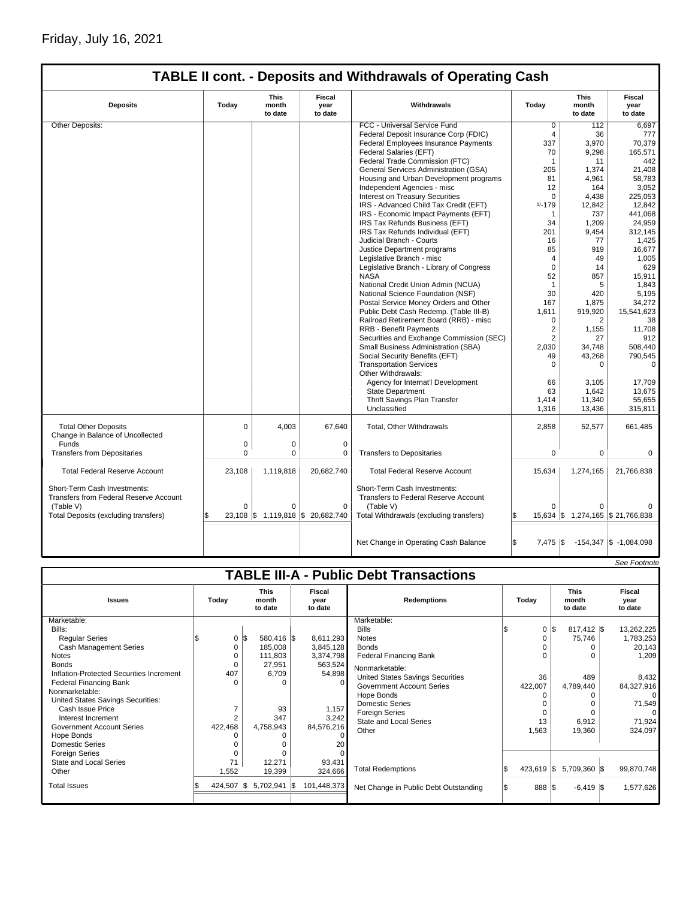# **TABLE II cont. - Deposits and Withdrawals of Operating Cash**

| <b>Deposits</b>                                                                            | <b>This</b><br><b>Fiscal</b><br>Today<br>month<br>Withdrawals<br>year<br>to date<br>to date |             | Today                             | This<br>month<br>to date                                                                 | <b>Fiscal</b><br>year<br>to date |                                   |                            |
|--------------------------------------------------------------------------------------------|---------------------------------------------------------------------------------------------|-------------|-----------------------------------|------------------------------------------------------------------------------------------|----------------------------------|-----------------------------------|----------------------------|
| Other Deposits:                                                                            |                                                                                             |             |                                   | FCC - Universal Service Fund                                                             | $\overline{0}$                   | 112                               | 6.697                      |
|                                                                                            |                                                                                             |             |                                   | Federal Deposit Insurance Corp (FDIC)                                                    | $\overline{4}$                   | 36                                | 777                        |
|                                                                                            |                                                                                             |             |                                   | Federal Employees Insurance Payments                                                     | 337                              | 3,970                             | 70,379                     |
|                                                                                            |                                                                                             |             |                                   | Federal Salaries (EFT)                                                                   | 70                               | 9,298                             | 165,571                    |
|                                                                                            |                                                                                             |             |                                   | Federal Trade Commission (FTC)                                                           | 1                                | 11                                | 442                        |
|                                                                                            |                                                                                             |             |                                   | General Services Administration (GSA)                                                    | 205                              | 1,374                             | 21,408                     |
|                                                                                            |                                                                                             |             |                                   | Housing and Urban Development programs                                                   | 81                               | 4,961                             | 58,783                     |
|                                                                                            |                                                                                             |             |                                   | Independent Agencies - misc                                                              | 12                               | 164                               | 3,052                      |
|                                                                                            |                                                                                             |             |                                   | <b>Interest on Treasury Securities</b>                                                   | $\Omega$                         | 4.438                             | 225,053                    |
|                                                                                            |                                                                                             |             |                                   | IRS - Advanced Child Tax Credit (EFT)                                                    | $1/ - 179$                       | 12,842                            | 12,842                     |
|                                                                                            |                                                                                             |             |                                   | IRS - Economic Impact Payments (EFT)                                                     | 1                                | 737                               | 441,068                    |
|                                                                                            |                                                                                             |             |                                   | IRS Tax Refunds Business (EFT)                                                           | 34                               | 1,209                             | 24,959                     |
|                                                                                            |                                                                                             |             |                                   | IRS Tax Refunds Individual (EFT)                                                         | 201                              | 9,454                             | 312,145                    |
|                                                                                            |                                                                                             |             |                                   | Judicial Branch - Courts                                                                 | 16                               | 77                                | 1,425                      |
|                                                                                            |                                                                                             |             |                                   | Justice Department programs                                                              | 85                               | 919                               | 16,677                     |
|                                                                                            |                                                                                             |             |                                   | Legislative Branch - misc                                                                | $\overline{4}$                   | 49                                | 1,005                      |
|                                                                                            |                                                                                             |             |                                   | Legislative Branch - Library of Congress                                                 | $\mathbf 0$                      | 14                                | 629                        |
|                                                                                            |                                                                                             |             |                                   | <b>NASA</b>                                                                              | 52                               | 857                               | 15,911                     |
|                                                                                            |                                                                                             |             |                                   | National Credit Union Admin (NCUA)                                                       | $\mathbf{1}$                     | 5                                 | 1,843                      |
|                                                                                            |                                                                                             |             |                                   | National Science Foundation (NSF)                                                        | 30                               | 420                               | 5,195                      |
|                                                                                            |                                                                                             |             |                                   | Postal Service Money Orders and Other                                                    | 167                              | 1,875                             | 34,272                     |
|                                                                                            |                                                                                             |             |                                   | Public Debt Cash Redemp. (Table III-B)                                                   | 1,611                            | 919,920                           | 15,541,623                 |
|                                                                                            |                                                                                             |             |                                   | Railroad Retirement Board (RRB) - misc                                                   | $\mathbf 0$                      | 2                                 | 38                         |
|                                                                                            |                                                                                             |             |                                   | <b>RRB - Benefit Payments</b>                                                            | $\overline{2}$                   | 1,155                             | 11,708                     |
|                                                                                            |                                                                                             |             |                                   | Securities and Exchange Commission (SEC)                                                 | $\overline{2}$                   | 27                                | 912                        |
|                                                                                            |                                                                                             |             |                                   | Small Business Administration (SBA)                                                      | 2,030                            | 34,748                            | 508,440                    |
|                                                                                            |                                                                                             |             |                                   | Social Security Benefits (EFT)                                                           | 49                               | 43,268                            | 790,545                    |
|                                                                                            |                                                                                             |             |                                   | <b>Transportation Services</b>                                                           | $\Omega$                         | 0                                 | $\Omega$                   |
|                                                                                            |                                                                                             |             |                                   | Other Withdrawals:                                                                       |                                  |                                   |                            |
|                                                                                            |                                                                                             |             |                                   | Agency for Internat'l Development                                                        | 66                               | 3.105                             | 17,709                     |
|                                                                                            |                                                                                             |             |                                   | <b>State Department</b>                                                                  | 63                               | 1,642                             | 13,675                     |
|                                                                                            |                                                                                             |             |                                   | Thrift Savings Plan Transfer                                                             | 1,414                            | 11,340                            | 55,655                     |
|                                                                                            |                                                                                             |             |                                   | Unclassified                                                                             | 1,316                            | 13,436                            | 315,811                    |
| <b>Total Other Deposits</b><br>Change in Balance of Uncollected                            | $\mathbf 0$                                                                                 | 4.003       | 67.640                            | <b>Total, Other Withdrawals</b>                                                          | 2.858                            | 52,577                            | 661,485                    |
| Funds                                                                                      | $\mathbf 0$                                                                                 | $\mathbf 0$ | $\mathbf 0$                       |                                                                                          |                                  |                                   |                            |
| <b>Transfers from Depositaries</b>                                                         | $\Omega$                                                                                    | $\Omega$    | $\mathbf 0$                       | <b>Transfers to Depositaries</b>                                                         | 0                                | 0                                 | $\Omega$                   |
| <b>Total Federal Reserve Account</b>                                                       | 23.108                                                                                      | 1.119.818   | 20,682,740                        | <b>Total Federal Reserve Account</b>                                                     | 15,634                           | 1.274.165                         | 21.766.838                 |
| Short-Term Cash Investments:<br><b>Transfers from Federal Reserve Account</b><br>(Table V) | $\Omega$                                                                                    | $\Omega$    | $\Omega$                          | Short-Term Cash Investments:<br><b>Transfers to Federal Reserve Account</b><br>(Table V) | $\Omega$                         | $\Omega$                          |                            |
| Total Deposits (excluding transfers)                                                       |                                                                                             |             | 23,108 \$ 1,119,818 \$ 20,682,740 | Total Withdrawals (excluding transfers)                                                  |                                  | 15,634 \$ 1,274,165 \$ 21,766,838 |                            |
|                                                                                            |                                                                                             |             |                                   | Net Change in Operating Cash Balance                                                     | \$<br>$7,475$ \$                 |                                   | $-154,347$ \$ $-1,084,098$ |

|                                          |                  |     |                                 |                                  |                                               |              |                                 | See Footnote                     |
|------------------------------------------|------------------|-----|---------------------------------|----------------------------------|-----------------------------------------------|--------------|---------------------------------|----------------------------------|
|                                          |                  |     |                                 |                                  | <b>TABLE III-A - Public Debt Transactions</b> |              |                                 |                                  |
| <b>Issues</b>                            | Today            |     | <b>This</b><br>month<br>to date | <b>Fiscal</b><br>vear<br>to date | <b>Redemptions</b>                            | Todav        | <b>This</b><br>month<br>to date | <b>Fiscal</b><br>vear<br>to date |
| Marketable:                              |                  |     |                                 |                                  | Marketable:                                   |              |                                 |                                  |
| Bills:                                   |                  |     |                                 |                                  | <b>Bills</b>                                  | 0            | \$<br>$817,412$ \$              | 13,262,225                       |
| <b>Regular Series</b>                    | $0 \,$ $\upbeta$ |     | 580,416 \$                      | 8,611,293                        | <b>Notes</b>                                  |              | 75,746                          | 1,783,253                        |
| <b>Cash Management Series</b>            | 0                |     | 185,008                         | 3,845,128                        | <b>Bonds</b>                                  |              | 0                               | 20,143                           |
| <b>Notes</b>                             | $\Omega$         |     | 111,803                         | 3,374,798                        | <b>Federal Financing Bank</b>                 |              | U                               | 1,209                            |
| <b>Bonds</b>                             | $\Omega$         |     | 27,951                          | 563,524                          | Nonmarketable:                                |              |                                 |                                  |
| Inflation-Protected Securities Increment | 407              |     | 6,709                           | 54,898                           | United States Savings Securities              | 36           | 489                             | 8.432                            |
| <b>Federal Financing Bank</b>            | $\Omega$         |     | O                               |                                  | <b>Government Account Series</b>              | 422,007      | 4,789,440                       | 84,327,916                       |
| Nonmarketable:                           |                  |     |                                 |                                  | Hope Bonds                                    |              | 0                               | $\Omega$                         |
| United States Savings Securities:        |                  |     |                                 |                                  | <b>Domestic Series</b>                        |              |                                 | 71,549                           |
| Cash Issue Price                         |                  |     | 93                              | 1,157                            | <b>Foreign Series</b>                         | $\Omega$     |                                 | $\Omega$                         |
| Interest Increment                       | $\overline{2}$   |     | 347                             | 3,242                            | <b>State and Local Series</b>                 | 13           | 6,912                           | 71,924                           |
| <b>Government Account Series</b>         | 422,468          |     | 4,758,943                       | 84,576,216                       | Other                                         | 1,563        | 19,360                          | 324,097                          |
| Hope Bonds                               |                  |     |                                 |                                  |                                               |              |                                 |                                  |
| <b>Domestic Series</b>                   |                  |     |                                 | 20                               |                                               |              |                                 |                                  |
| <b>Foreign Series</b>                    |                  |     |                                 |                                  |                                               |              |                                 |                                  |
| State and Local Series                   | 71               |     | 12,271                          | 93,431                           |                                               |              |                                 |                                  |
| Other                                    | 1,552            |     | 19,399                          | 324,666                          | <b>Total Redemptions</b>                      | $423,619$ \$ | 5,709,360 \$                    | 99,870,748                       |
| <b>Total Issues</b>                      | 424,507          | 1\$ | $5,702,941$ \\$                 | 101,448,373                      | Net Change in Public Debt Outstanding         | 888 \$       | $-6,419$ \\$                    | 1,577,626                        |
|                                          |                  |     |                                 |                                  |                                               |              |                                 |                                  |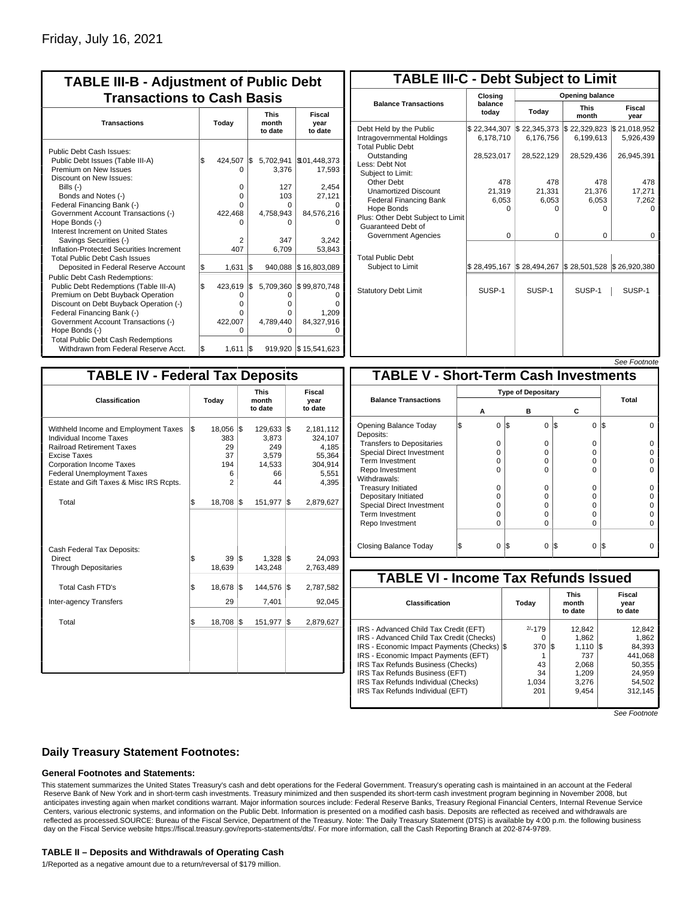| <b>TABLE III-B - Adjustment of Public Debt</b><br><b>Transactions to Cash Basis</b>                                                                                                                                                                                                                                               |           |                                                 |           |                                                       |                                                                           |  |  |  |  |
|-----------------------------------------------------------------------------------------------------------------------------------------------------------------------------------------------------------------------------------------------------------------------------------------------------------------------------------|-----------|-------------------------------------------------|-----------|-------------------------------------------------------|---------------------------------------------------------------------------|--|--|--|--|
| <b>Transactions</b>                                                                                                                                                                                                                                                                                                               | Today     |                                                 |           | <b>This</b><br>month<br>to date                       | <b>Fiscal</b><br>year<br>to date                                          |  |  |  |  |
| Public Debt Cash Issues:<br>Public Debt Issues (Table III-A)<br>Premium on New Issues<br>Discount on New Issues:<br>Bills (-)<br>Bonds and Notes (-)<br>Federal Financing Bank (-)<br>Government Account Transactions (-)                                                                                                         | \$        | 424.507<br>0<br>0<br>0<br>0<br>422,468          | I\$       | 5,702,941<br>3,376<br>127<br>103<br>O<br>4,758,943    | \$101,448,373<br>17,593<br>2,454<br>27,121<br>84,576,216                  |  |  |  |  |
| Hope Bonds (-)<br>Interest Increment on United States<br>Savings Securities (-)<br>Inflation-Protected Securities Increment<br><b>Total Public Debt Cash Issues</b>                                                                                                                                                               |           | U<br>2<br>407                                   |           | 0<br>347<br>6,709                                     | 3.242<br>53,843                                                           |  |  |  |  |
| Deposited in Federal Reserve Account<br>Public Debt Cash Redemptions:<br>Public Debt Redemptions (Table III-A)<br>Premium on Debt Buyback Operation<br>Discount on Debt Buyback Operation (-)<br>Federal Financing Bank (-)<br>Government Account Transactions (-)<br>Hope Bonds (-)<br><b>Total Public Debt Cash Redemptions</b> | \$<br>l\$ | 1,631<br>423,619<br>0<br>O<br>0<br>422,007<br>O | l\$<br>\$ | 940,088<br>5,709,360<br>O<br>o<br>0<br>4.789.440<br>O | \$16,803,089<br>\$99,870,748<br>O<br>ŋ<br>1,209<br>84,327,916<br>$\Omega$ |  |  |  |  |
| Withdrawn from Federal Reserve Acct.                                                                                                                                                                                                                                                                                              | l\$       | 1,611                                           | \$        |                                                       | 919,920   \$15,541,623                                                    |  |  |  |  |

| <b>TABLE III-C - Debt Subject to Limit</b>                                        |                           |                           |                                                   |                           |  |  |  |  |  |
|-----------------------------------------------------------------------------------|---------------------------|---------------------------|---------------------------------------------------|---------------------------|--|--|--|--|--|
|                                                                                   | Closing                   | Opening balance           |                                                   |                           |  |  |  |  |  |
| <b>Balance Transactions</b>                                                       | balance<br>today          | Today                     | <b>This</b><br>month                              | <b>Fiscal</b><br>year     |  |  |  |  |  |
| Debt Held by the Public<br>Intragovernmental Holdings<br><b>Total Public Debt</b> | \$22,344,307<br>6,178,710 | \$22,345,373<br>6,176,756 | \$22,329,823<br>6,199,613                         | \$21,018,952<br>5,926,439 |  |  |  |  |  |
| Outstanding<br>Less: Debt Not<br>Subiect to Limit:                                | 28,523,017                | 28,522,129                | 28,529,436                                        | 26,945,391                |  |  |  |  |  |
| Other Debt                                                                        | 478                       | 478                       | 478                                               | 478                       |  |  |  |  |  |
| <b>Unamortized Discount</b>                                                       | 21,319                    | 21,331                    | 21,376                                            | 17,271                    |  |  |  |  |  |
| <b>Federal Financing Bank</b>                                                     | 6,053                     | 6,053                     | 6,053                                             | 7,262                     |  |  |  |  |  |
| Hope Bonds<br>Plus: Other Debt Subject to Limit<br>Guaranteed Debt of             | 0                         | O                         | 0                                                 | o                         |  |  |  |  |  |
| Government Agencies                                                               | $\Omega$                  | $\Omega$                  | $\Omega$                                          | 0                         |  |  |  |  |  |
| <b>Total Public Debt</b><br>Subject to Limit                                      | \$28,495.167              | \$28,494,267              | $\frac{1}{2}$ 28,501,528 $\frac{1}{2}$ 26,920,380 |                           |  |  |  |  |  |
| <b>Statutory Debt Limit</b>                                                       | SUSP-1                    | SUSP-1                    | SUSP-1                                            | SUSP-1                    |  |  |  |  |  |
|                                                                                   |                           |                           |                                                   |                           |  |  |  |  |  |

| See Footnote |
|--------------|
|--------------|

| <b>TABLE IV - Federal Tax Deposits</b>                                                                                                                                                                                                 |                                                      |                                                             |                                                                      |  |  |  |  |  |  |
|----------------------------------------------------------------------------------------------------------------------------------------------------------------------------------------------------------------------------------------|------------------------------------------------------|-------------------------------------------------------------|----------------------------------------------------------------------|--|--|--|--|--|--|
| Classification                                                                                                                                                                                                                         | Today                                                | <b>This</b><br>month<br>to date                             | Fiscal<br>year<br>to date                                            |  |  |  |  |  |  |
| Withheld Income and Employment Taxes<br>Individual Income Taxes<br><b>Railroad Retirement Taxes</b><br>Excise Taxes<br><b>Corporation Income Taxes</b><br><b>Federal Unemployment Taxes</b><br>Estate and Gift Taxes & Misc IRS Rcpts. | l\$<br>18,056 \$<br>383<br>29<br>37<br>194<br>6<br>2 | $129,633$ \$<br>3.873<br>249<br>3.579<br>14,533<br>66<br>44 | 2,181,112<br>324.107<br>4,185<br>55,364<br>304,914<br>5,551<br>4,395 |  |  |  |  |  |  |
| Total                                                                                                                                                                                                                                  | \$<br>18,708                                         | 1\$<br>151,977                                              | l\$<br>2,879,627                                                     |  |  |  |  |  |  |
| Cash Federal Tax Deposits:<br>Direct<br><b>Through Depositaries</b>                                                                                                                                                                    | \$<br>39<br>18,639                                   | 1\$<br>$1,328$ \$<br>143,248                                | 24,093<br>2,763,489                                                  |  |  |  |  |  |  |
| Total Cash FTD's<br>Inter-agency Transfers                                                                                                                                                                                             | Ŝ.<br>18,678<br>29                                   | 1\$<br>144,576<br>7,401                                     | l\$<br>2,787,582<br>92,045                                           |  |  |  |  |  |  |
| Total                                                                                                                                                                                                                                  | \$<br>18,708                                         | 1\$<br>151,977                                              | l\$<br>2,879,627                                                     |  |  |  |  |  |  |
|                                                                                                                                                                                                                                        |                                                      |                                                             |                                                                      |  |  |  |  |  |  |
|                                                                                                                                                                                                                                        |                                                      |                                                             |                                                                      |  |  |  |  |  |  |

| <b>TABLE V - Short-Term Cash Investments</b> |          |                           |          |       |  |  |  |  |  |  |
|----------------------------------------------|----------|---------------------------|----------|-------|--|--|--|--|--|--|
|                                              |          | <b>Type of Depositary</b> |          |       |  |  |  |  |  |  |
| <b>Balance Transactions</b>                  |          |                           |          | Total |  |  |  |  |  |  |
|                                              | А        | в                         | С        |       |  |  |  |  |  |  |
| Opening Balance Today<br>Deposits:           | 0        | l\$<br>$\Omega$           | 0<br>1\$ | I\$   |  |  |  |  |  |  |
| <b>Transfers to Depositaries</b>             | O        | $\Omega$                  | O        |       |  |  |  |  |  |  |
| <b>Special Direct Investment</b>             | O        | 0                         | O        |       |  |  |  |  |  |  |
| Term Investment                              | O        | 0                         | 0        |       |  |  |  |  |  |  |
| Repo Investment                              | U        | U                         | O        |       |  |  |  |  |  |  |
| Withdrawals:                                 |          |                           |          |       |  |  |  |  |  |  |
| <b>Treasury Initiated</b>                    | O        | 0                         | 0        |       |  |  |  |  |  |  |
| Depositary Initiated                         | O        | 0                         | 0        |       |  |  |  |  |  |  |
| <b>Special Direct Investment</b>             | Ω        | 0                         | 0        |       |  |  |  |  |  |  |
| <b>Term Investment</b>                       | ი        | $\Omega$                  | O        |       |  |  |  |  |  |  |
| Repo Investment                              | 0        | $\Omega$                  | 0        |       |  |  |  |  |  |  |
|                                              |          |                           |          |       |  |  |  |  |  |  |
| Closing Balance Today                        | $\Omega$ | I\$<br>0                  | I\$<br>0 | l\$   |  |  |  |  |  |  |

| <b>TABLE VI - Income Tax Refunds Issued</b>                                                                                                                                                                                                                                                                                |                                                  |                                                                            |                                                                               |  |  |  |  |  |  |  |
|----------------------------------------------------------------------------------------------------------------------------------------------------------------------------------------------------------------------------------------------------------------------------------------------------------------------------|--------------------------------------------------|----------------------------------------------------------------------------|-------------------------------------------------------------------------------|--|--|--|--|--|--|--|
| Classification                                                                                                                                                                                                                                                                                                             | Today                                            | <b>This</b><br>month<br>to date                                            | Fiscal<br>year<br>to date                                                     |  |  |  |  |  |  |  |
| IRS - Advanced Child Tax Credit (EFT)<br>IRS - Advanced Child Tax Credit (Checks)<br>IRS - Economic Impact Payments (Checks)  \$<br>IRS - Economic Impact Payments (EFT)<br>IRS Tax Refunds Business (Checks)<br>IRS Tax Refunds Business (EFT)<br>IRS Tax Refunds Individual (Checks)<br>IRS Tax Refunds Individual (EFT) | $2/-179$<br>0<br>370<br>43<br>34<br>1,034<br>201 | 12.842<br>1.862<br>1.110<br>IS.<br>737<br>2.068<br>1.209<br>3,276<br>9.454 | 12,842<br>1.862<br>84.393<br>441.068<br>50.355<br>24,959<br>54.502<br>312.145 |  |  |  |  |  |  |  |

See Footnote

### **Daily Treasury Statement Footnotes:**

#### **General Footnotes and Statements:**

This statement summarizes the United States Treasury's cash and debt operations for the Federal Government. Treasury's operating cash is maintained in an account at the Federal Reserve Bank of New York and in short-term cash investments. Treasury minimized and then suspended its short-term cash investment program beginning in November 2008, but anticipates investing again when market conditions warrant. Major information sources include: Federal Reserve Banks, Treasury Regional Financial Centers, Internal Revenue Service Centers, various electronic systems, and information on the Public Debt. Information is presented on a modified cash basis. Deposits are reflected as received and withdrawals are reflected as processed.SOURCE: Bureau of the Fiscal Service, Department of the Treasury. Note: The Daily Treasury Statement (DTS) is available by 4:00 p.m. the following business day on the Fiscal Service website https://fiscal.treasury.gov/reports-statements/dts/. For more information, call the Cash Reporting Branch at 202-874-9789.

#### **TABLE II – Deposits and Withdrawals of Operating Cash**

1/Reported as a negative amount due to a return/reversal of \$179 million.